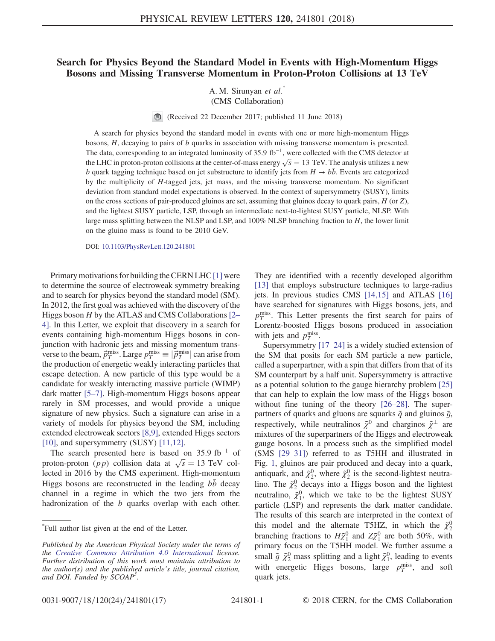## Search for Physics Beyond the Standard Model in Events with High-Momentum Higgs Bosons and Missing Transverse Momentum in Proton-Proton Collisions at 13 TeV

A. M. Sirunyan et al.<sup>\*</sup> (CMS Collaboration)

(Received 22 December 2017; published 11 June 2018)

A search for physics beyond the standard model in events with one or more high-momentum Higgs bosons, H, decaying to pairs of b quarks in association with missing transverse momentum is presented. The data, corresponding to an integrated luminosity of 35.9  $fb^{-1}$ , were collected with the CMS detector at the LHC in proton-proton collisions at the center-of-mass energy  $\sqrt{s} = 13$  TeV. The analysis utilizes a new heavenly to see the center of the state of the state of the state of the state of the state of the state of the b quark tagging technique based on jet substructure to identify jets from  $H \rightarrow b\bar{b}$ . Events are categorized by the multiplicity of H-tagged jets, jet mass, and the missing transverse momentum. No significant deviation from standard model expectations is observed. In the context of supersymmetry (SUSY), limits on the cross sections of pair-produced gluinos are set, assuming that gluinos decay to quark pairs, H (or Z), and the lightest SUSY particle, LSP, through an intermediate next-to-lightest SUSY particle, NLSP. With large mass splitting between the NLSP and LSP, and 100% NLSP branching fraction to H, the lower limit on the gluino mass is found to be 2010 GeV.

DOI: [10.1103/PhysRevLett.120.241801](https://doi.org/10.1103/PhysRevLett.120.241801)

Primary motivations for building the CERN LHC<sup>[\[1\]](#page-4-0)</sup> were to determine the source of electroweak symmetry breaking and to search for physics beyond the standard model (SM). In 2012, the first goal was achieved with the discovery of the Higgs boson  $H$  by the ATLAS and CMS Collaborations  $[2 [2-$ [4\].](#page-4-1) In this Letter, we exploit that discovery in a search for events containing high-momentum Higgs bosons in conjunction with hadronic jets and missing momentum transverse to the beam,  $\vec{p}_T^{\text{miss}}$ . Large  $p_T^{\text{miss}} \equiv |\vec{p}_T^{\text{miss}}|$  can arise from the production of energetic weakly interacting particles that the production of energetic weakly interacting particles that escape detection. A new particle of this type would be a candidate for weakly interacting massive particle (WIMP) dark matter [5–[7\].](#page-4-2) High-momentum Higgs bosons appear rarely in SM processes, and would provide a unique signature of new physics. Such a signature can arise in a variety of models for physics beyond the SM, including extended electroweak sectors [\[8,9\],](#page-4-3) extended Higgs sectors [\[10\]](#page-4-4), and supersymmetry (SUSY) [\[11,12\]](#page-4-5).

The search presented here is based on  $35.9$  fb<sup>-1</sup> of proton-proton (*pp*) collision data at  $\sqrt{s} = 13$  TeV col-<br>lected in 2016 by the CMS experiment. High-momentum lected in 2016 by the CMS experiment. High-momentum Higgs bosons are reconstructed in the leading  $b\bar{b}$  decay channel in a regime in which the two jets from the hadronization of the  $b$  quarks overlap with each other.

They are identified with a recently developed algorithm [\[13\]](#page-4-6) that employs substructure techniques to large-radius jets. In previous studies CMS [\[14,15\]](#page-4-7) and ATLAS [\[16\]](#page-4-8) have searched for signatures with Higgs bosons, jets, and  $p_T^{\text{miss}}$ . This Letter presents the first search for pairs of  $I$  original Higgs bosons produced in association Lorentz-boosted Higgs bosons produced in association with jets and  $p_T^{\text{miss}}$ .<br>Supersymmetry [

Supersymmetry [17–[24\]](#page-4-9) is a widely studied extension of the SM that posits for each SM particle a new particle, called a superpartner, with a spin that differs from that of its SM counterpart by a half unit. Supersymmetry is attractive as a potential solution to the gauge hierarchy problem [\[25\]](#page-5-0) that can help to explain the low mass of the Higgs boson without fine tuning of the theory [\[26](#page-5-1)–28]. The superpartners of quarks and gluons are squarks  $\tilde{q}$  and gluinos  $\tilde{q}$ , respectively, while neutralinos  $\tilde{\chi}^0$  and charginos  $\tilde{\chi}^{\pm}$  are mixtures of the superpartners of the Higgs and electroweak gauge bosons. In a process such as the simplified model (SMS [29–[31\]\)](#page-5-2) referred to as T5HH and illustrated in Fig. [1](#page-1-0), gluinos are pair produced and decay into a quark, antiquark, and  $\tilde{\chi}_2^0$ , where  $\tilde{\chi}_2^0$  is the second-lightest neutralino. The  $\tilde{\chi}_2^0$  decays into a Higgs boson and the lightest neutralino,  $\tilde{\chi}_1^0$ , which we take to be the lightest SUSY particle (LSP) and represents the dark matter candidate. The results of this search are interpreted in the context of this model and the alternate T5HZ, in which the  $\tilde{\chi}_2^0$ branching fractions to  $H\tilde{\chi}_{1}^{0}$  and  $Z\tilde{\chi}_{1}^{0}$  are both 50%, with primary focus on the TSHH model. We further assume a primary focus on the T5HH model. We further assume a small  $\tilde{g}-\tilde{\chi}_2^0$  mass splitting and a light  $\tilde{\chi}_1^0$ , leading to events<br>with energetic. Higgs, bosons, large, n<sup>miss</sup>, and soft with energetic Higgs bosons, large  $p_T^{\text{miss}}$ , and soft quark jets quark jets.

<sup>\*</sup> Full author list given at the end of the Letter.

Published by the American Physical Society under the terms of the [Creative Commons Attribution 4.0 International](https://creativecommons.org/licenses/by/4.0/) license. Further distribution of this work must maintain attribution to the author(s) and the published article's title, journal citation, and DOI. Funded by SCOAP<sup>3</sup>.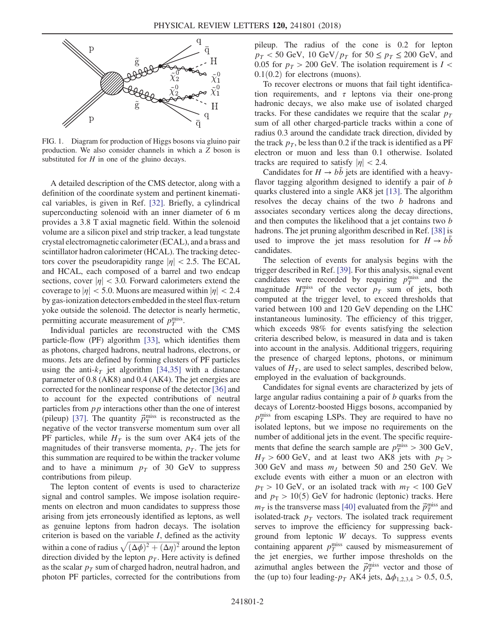<span id="page-1-0"></span>

FIG. 1. Diagram for production of Higgs bosons via gluino pair production. We also consider channels in which a Z boson is substituted for  $H$  in one of the gluino decays.

A detailed description of the CMS detector, along with a definition of the coordinate system and pertinent kinematical variables, is given in Ref. [\[32\].](#page-5-3) Briefly, a cylindrical superconducting solenoid with an inner diameter of 6 m provides a 3.8 T axial magnetic field. Within the solenoid volume are a silicon pixel and strip tracker, a lead tungstate crystal electromagnetic calorimeter (ECAL), and a brass and scintillator hadron calorimeter (HCAL). The tracking detectors cover the pseudorapidity range  $|\eta| < 2.5$ . The ECAL and HCAL, each composed of a barrel and two endcap sections, cover  $|\eta|$  < 3.0. Forward calorimeters extend the coverage to  $|\eta|$  < 5.0. Muons are measured within  $|\eta|$  < 2.4 by gas-ionization detectors embedded in the steel flux-return yoke outside the solenoid. The detector is nearly hermetic, permitting accurate measurement of  $p_T^{\text{miss}}$ .<br>Individual particles are reconstructed

Individual particles are reconstructed with the CMS particle-flow (PF) algorithm [\[33\]](#page-5-4), which identifies them as photons, charged hadrons, neutral hadrons, electrons, or muons. Jets are defined by forming clusters of PF particles using the anti- $k<sub>T</sub>$  jet algorithm [\[34,35\]](#page-5-5) with a distance parameter of 0.8 (AK8) and 0.4 (AK4). The jet energies are corrected for the nonlinear response of the detector [\[36\]](#page-5-6) and to account for the expected contributions of neutral particles from  $pp$  interactions other than the one of interest (pileup) [\[37\].](#page-5-7) The quantity  $\vec{p}_{\text{T}}^{\text{miss}}$  is reconstructed as the negative of the vector transverse momentum sum over all negative of the vector transverse momentum sum over all PF particles, while  $H_T$  is the sum over AK4 jets of the magnitudes of their transverse momenta,  $p_T$ . The jets for this summation are required to be within the tracker volume and to have a minimum  $p<sub>T</sub>$  of 30 GeV to suppress contributions from pileup.

The lepton content of events is used to characterize signal and control samples. We impose isolation requirements on electron and muon candidates to suppress those arising from jets erroneously identified as leptons, as well as genuine leptons from hadron decays. The isolation criterion is based on the variable *I*, defined as the activity within a cone of radius  $\sqrt{(\Delta \phi)^2 + (\Delta \eta)^2}$  around the lepton direction divided by the lepton  $p<sub>T</sub>$ . Here activity is defined as the scalar  $p<sub>T</sub>$  sum of charged hadron, neutral hadron, and photon PF particles, corrected for the contributions from pileup. The radius of the cone is 0.2 for lepton  $p_T < 50$  GeV, 10 GeV/ $p_T$  for  $50 \leq p_T \leq 200$  GeV, and 0.05 for  $p_T > 200$  GeV. The isolation requirement is  $I <$  $0.1(0.2)$  for electrons (muons).

To recover electrons or muons that fail tight identification requirements, and  $\tau$  leptons via their one-prong hadronic decays, we also make use of isolated charged tracks. For these candidates we require that the scalar  $p_T$ sum of all other charged-particle tracks within a cone of radius 0.3 around the candidate track direction, divided by the track  $p_T$ , be less than 0.2 if the track is identified as a PF electron or muon and less than 0.1 otherwise. Isolated tracks are required to satisfy  $|\eta| < 2.4$ .

Candidates for  $H \rightarrow bb$  jets are identified with a heavyflavor tagging algorithm designed to identify a pair of b quarks clustered into a single AK8 jet [\[13\].](#page-4-6) The algorithm resolves the decay chains of the two b hadrons and associates secondary vertices along the decay directions, and then computes the likelihood that a jet contains two b hadrons. The jet pruning algorithm described in Ref. [\[38\]](#page-5-8) is used to improve the jet mass resolution for  $H \rightarrow bb$ candidates.

The selection of events for analysis begins with the trigger described in Ref. [\[39\]](#page-5-9). For this analysis, signal event candidates were recorded by requiring  $p_T^{\text{miss}}$  and the magnitude  $H^{\text{miss}}$  of the vector  $p_x$  sum of jets both magnitude  $H_T^{\text{miss}}$  of the vector  $p_T$  sum of jets, both computed at the trigger level to exceed thresholds that computed at the trigger level, to exceed thresholds that varied between 100 and 120 GeV depending on the LHC instantaneous luminosity. The efficiency of this trigger, which exceeds 98% for events satisfying the selection criteria described below, is measured in data and is taken into account in the analysis. Additional triggers, requiring the presence of charged leptons, photons, or minimum values of  $H<sub>T</sub>$ , are used to select samples, described below, employed in the evaluation of backgrounds.

Candidates for signal events are characterized by jets of large angular radius containing a pair of b quarks from the decays of Lorentz-boosted Higgs bosons, accompanied by  $p_T^{\text{miss}}$  from escaping LSPs. They are required to have no<br>isolated leptons, but we impose no requirements on the isolated leptons, but we impose no requirements on the number of additional jets in the event. The specific requirements that define the search sample are  $p_T^{\text{miss}} > 300 \text{ GeV}$ ,<br> $H_{\text{max}} > 600 \text{ GeV}$  and at least two AK8 jets with  $p_{\text{max}} >$  $H_T > 600$  GeV, and at least two AK8 jets with  $p_T >$ 300 GeV and mass  $m_l$  between 50 and 250 GeV. We exclude events with either a muon or an electron with  $p_T > 10$  GeV, or an isolated track with  $m_T < 100$  GeV and  $p_T > 10(5)$  GeV for hadronic (leptonic) tracks. Here  $m_T$  is the transverse mass [\[40\]](#page-5-10) evaluated from the  $\vec{p}_T^{\text{miss}}$  and<br>isolated-track  $p_T$  vectors. The isolated track requirement isolated-track  $p_T$  vectors. The isolated track requirement serves to improve the efficiency for suppressing background from leptonic W decays. To suppress events containing apparent  $p_T^{\text{miss}}$  caused by mismeasurement of the jet energies we further impose thresholds on the the jet energies, we further impose thresholds on the azimuthal angles between the  $\vec{p}_T^{\text{miss}}$  vector and those of<br>the (up to) four leading- $p_T$  AK4 jets  $\Delta \phi_{\text{max}} > 0.5$  0.5 the (up to) four leading- $p_T$  AK4 jets,  $\Delta\phi_{1,2,3,4} > 0.5$ , 0.5,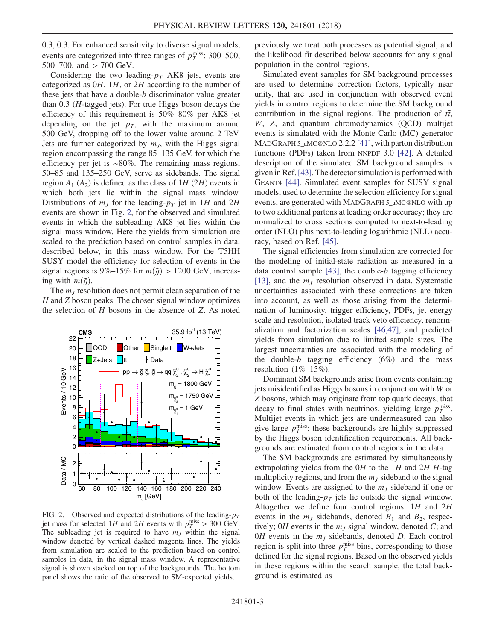0.3, 0.3. For enhanced sensitivity to diverse signal models, events are categorized into three ranges of  $p_T^{\text{miss}}$ : 300–500, 500–700 and  $>$  700 GeV 500–700, and  $> 700$  GeV.

Considering the two leading- $p_T$  AK8 jets, events are categorized as  $0H$ , 1H, or  $2H$  according to the number of these jets that have a double-b discriminator value greater than 0.3 (H-tagged jets). For true Higgs boson decays the efficiency of this requirement is 50%–80% per AK8 jet depending on the jet  $p<sub>T</sub>$ , with the maximum around 500 GeV, dropping off to the lower value around 2 TeV. Jets are further categorized by  $m<sub>J</sub>$ , with the Higgs signal region encompassing the range 85–135 GeV, for which the efficiency per jet is ∼80%. The remaining mass regions, 50–85 and 135–250 GeV, serve as sidebands. The signal region  $A_1(A_2)$  is defined as the class of  $1H(2H)$  events in which both jets lie within the signal mass window. Distributions of  $m<sub>J</sub>$  for the leading- $p<sub>T</sub>$  jet in 1H and 2H events are shown in Fig. [2](#page-2-0), for the observed and simulated events in which the subleading AK8 jet lies within the signal mass window. Here the yields from simulation are scaled to the prediction based on control samples in data, described below, in this mass window. For the T5HH SUSY model the efficiency for selection of events in the signal regions is 9%–15% for  $m(\tilde{g}) > 1200$  GeV, increasing with  $m(\tilde{g})$ .

The  $m<sub>I</sub>$  resolution does not permit clean separation of the  $H$  and  $Z$  boson peaks. The chosen signal window optimizes the selection of  $H$  bosons in the absence of  $Z$ . As noted

<span id="page-2-0"></span>

FIG. 2. Observed and expected distributions of the leading- $p<sub>T</sub>$ jet mass for selected 1H and 2H events with  $p_T^{\text{miss}} > 300$  GeV.<br>The subleading jet is required to have m<sub>r</sub> within the signal The subleading jet is required to have  $m<sub>I</sub>$  within the signal window denoted by vertical dashed magenta lines. The yields from simulation are scaled to the prediction based on control samples in data, in the signal mass window. A representative signal is shown stacked on top of the backgrounds. The bottom panel shows the ratio of the observed to SM-expected yields.

previously we treat both processes as potential signal, and the likelihood fit described below accounts for any signal population in the control regions.

Simulated event samples for SM background processes are used to determine correction factors, typically near unity, that are used in conjunction with observed event yields in control regions to determine the SM background contribution in the signal regions. The production of  $t\bar{t}$ , W, Z, and quantum chromodynamics (QCD) multijet events is simulated with the Monte Carlo (MC) generator MADGRAPH 5\_aMC@NLO 2.2.2 [\[41\]](#page-5-11), with parton distribution functions (PDFs) taken from NNPDF 3.0 [\[42\].](#page-5-12) A detailed description of the simulated SM background samples is given in Ref.[\[43\].](#page-5-13) The detector simulation is performed with GEANT4 [\[44\]](#page-5-14). Simulated event samples for SUSY signal models, used to determine the selection efficiency for signal events, are generated with MADGRAPH 5\_aMC@NLO with up to two additional partons at leading order accuracy; they are normalized to cross sections computed to next-to-leading order (NLO) plus next-to-leading logarithmic (NLL) accuracy, based on Ref. [\[45\]](#page-5-15).

The signal efficiencies from simulation are corrected for the modeling of initial-state radiation as measured in a data control sample  $[43]$ , the double-*b* tagging efficiency [\[13\]](#page-4-6), and the  $m<sub>J</sub>$  resolution observed in data. Systematic uncertainties associated with these corrections are taken into account, as well as those arising from the determination of luminosity, trigger efficiency, PDFs, jet energy scale and resolution, isolated track veto efficiency, renormalization and factorization scales [\[46,47\],](#page-5-16) and predicted yields from simulation due to limited sample sizes. The largest uncertainties are associated with the modeling of the double- $b$  tagging efficiency (6%) and the mass resolution  $(1\% - 15\%)$ .

Dominant SM backgrounds arise from events containing jets misidentified as Higgs bosons in conjunction with W or Z bosons, which may originate from top quark decays, that decay to final states with neutrinos, yielding large  $p_T^{\text{miss}}$ .<br>Multijet events in which jets are undermeasured can also Multijet events in which jets are undermeasured can also give large  $p_T^{\text{miss}}$ ; these backgrounds are highly suppressed<br>by the Higgs boson identification requirements. All backby the Higgs boson identification requirements. All backgrounds are estimated from control regions in the data.

<span id="page-2-1"></span>The SM backgrounds are estimated by simultaneously extrapolating yields from the  $0H$  to the  $1H$  and  $2H$  H-tag multiplicity regions, and from the  $m<sub>I</sub>$  sideband to the signal window. Events are assigned to the  $m<sub>J</sub>$  sideband if one or both of the leading- $p<sub>T</sub>$  jets lie outside the signal window. Altogether we define four control regions: <sup>1</sup>H and <sup>2</sup>H events in the  $m<sub>J</sub>$  sidebands, denoted  $B<sub>1</sub>$  and  $B<sub>2</sub>$ , respectively;  $0H$  events in the  $m<sub>J</sub>$  signal window, denoted C; and  $0H$  events in the  $m<sub>J</sub>$  sidebands, denoted D. Each control region is split into three  $p_T^{\text{miss}}$  bins, corresponding to those<br>defined for the signal regions. Based on the observed vields defined for the signal regions. Based on the observed yields in these regions within the search sample, the total background is estimated as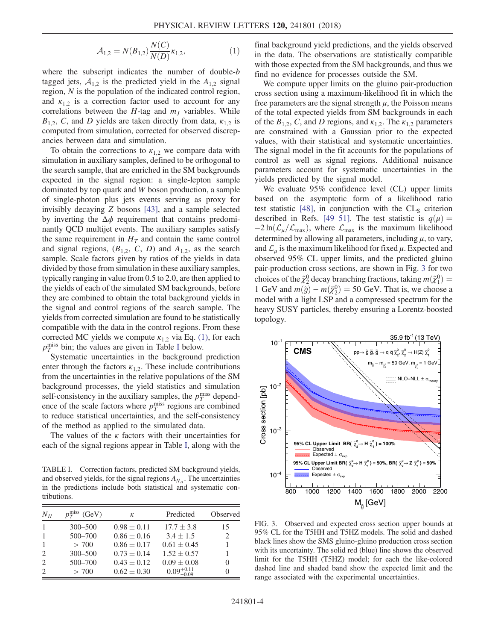$$
A_{1,2} = N(B_{1,2}) \frac{N(C)}{N(D)} \kappa_{1,2},\tag{1}
$$

where the subscript indicates the number of double-*b* tagged jets,  $A_{1,2}$  is the predicted yield in the  $A_{1,2}$  signal region, N is the population of the indicated control region, and  $\kappa_{1,2}$  is a correction factor used to account for any correlations between the  $H$ -tag and  $m<sub>J</sub>$  variables. While  $B_{1,2}$ , C, and D yields are taken directly from data,  $\kappa_{1,2}$  is computed from simulation, corrected for observed discrepancies between data and simulation.

To obtain the corrections to  $\kappa_{1,2}$  we compare data with simulation in auxiliary samples, defined to be orthogonal to the search sample, that are enriched in the SM backgrounds expected in the signal region: a single-lepton sample dominated by top quark and W boson production, a sample of single-photon plus jets events serving as proxy for invisibly decaying Z bosons [\[43\]](#page-5-13), and a sample selected by inverting the  $\Delta \phi$  requirement that contains predominantly QCD multijet events. The auxiliary samples satisfy the same requirement in  $H<sub>T</sub>$  and contain the same control and signal regions,  $(B_{1,2}, C, D)$  and  $A_{1,2}$ , as the search sample. Scale factors given by ratios of the yields in data divided by those from simulation in these auxiliary samples, typically ranging in value from 0.5 to 2.0, are then applied to the yields of each of the simulated SM backgrounds, before they are combined to obtain the total background yields in the signal and control regions of the search sample. The yields from corrected simulation are found to be statistically compatible with the data in the control regions. From these corrected MC yields we compute  $\kappa_{1,2}$  via Eq. [\(1\)](#page-2-1), for each  $p_T^{\text{miss}}$  bin; the values are given in Table [I](#page-3-0) below.<br>Systematic uncertainties in the background

Systematic uncertainties in the background prediction enter through the factors  $\kappa_{12}$ . These include contributions from the uncertainties in the relative populations of the SM background processes, the yield statistics and simulation self-consistency in the auxiliary samples, the  $p_T^{\text{miss}}$  depend-<br>ence of the scale factors where  $p_T^{\text{miss}}$  regions are combined ence of the scale factors where  $p_T^{\text{miss}}$  regions are combined<br>to reduce statistical uncertainties and the self-consistency to reduce statistical uncertainties, and the self-consistency of the method as applied to the simulated data.

The values of the  $\kappa$  factors with their uncertainties for each of the signal regions appear in Table [I,](#page-3-0) along with the

<span id="page-3-0"></span>TABLE I. Correction factors, predicted SM background yields, and observed yields, for the signal regions  $A_{N_H}$ . The uncertainties in the predictions include both statistical and systematic contributions.

| $N_H$                       | $p_T^{\text{miss}}$ (GeV) | к               | Predicted              | Observed |
|-----------------------------|---------------------------|-----------------|------------------------|----------|
| 1                           | $300 - 500$               | $0.98 \pm 0.11$ | $17.7 \pm 3.8$         | 15       |
| 1                           | 500-700                   | $0.86 \pm 0.16$ | $3.4 \pm 1.5$          | 2        |
| 1                           | > 700                     | $0.86 \pm 0.17$ | $0.61 \pm 0.45$        | 1        |
| 2                           | $300 - 500$               | $0.73 \pm 0.14$ | $1.52 \pm 0.57$        | 1        |
| $\overline{c}$              | 500-700                   | $0.43 \pm 0.12$ | $0.09 \pm 0.08$        | 0        |
| $\mathcal{D}_{\mathcal{L}}$ | > 700                     | $0.62 \pm 0.30$ | $0.09_{-0.09}^{+0.11}$ | $\theta$ |

final background yield predictions, and the yields observed in the data. The observations are statistically compatible with those expected from the SM backgrounds, and thus we find no evidence for processes outside the SM.

We compute upper limits on the gluino pair-production cross section using a maximum-likelihood fit in which the free parameters are the signal strength  $\mu$ , the Poisson means of the total expected yields from SM backgrounds in each of the  $B_{1,2}$ , C, and D regions, and  $\kappa_{1,2}$ . The  $\kappa_{1,2}$  parameters are constrained with a Gaussian prior to the expected values, with their statistical and systematic uncertainties. The signal model in the fit accounts for the populations of control as well as signal regions. Additional nuisance parameters account for systematic uncertainties in the yields predicted by the signal model.

We evaluate 95% confidence level (CL) upper limits based on the asymptotic form of a likelihood ratio test statistic  $[48]$ , in conjunction with the  $CL<sub>S</sub>$  criterion described in Refs. [49–[51\].](#page-5-18) The test statistic is  $q(\mu)$  =  $-2\ln(\mathcal{L}_{\mu}/\mathcal{L}_{\text{max}})$ , where  $\mathcal{L}_{\text{max}}$  is the maximum likelihood determined by allowing all parameters, including  $\mu$ , to vary, and  $\mathcal{L}_u$  is the maximum likelihood for fixed  $\mu$ . Expected and observed 95% CL upper limits, and the predicted gluino pair-production cross sections, are shown in Fig. [3](#page-3-1) for two choices of the  $\tilde{\chi}_2^0$  decay branching fractions, taking  $m(\tilde{\chi}_1^0) =$ <br>1. GeV and  $m(\tilde{\chi}_1^0) = 50$  GeV. That is, we choose a 1 GeV and  $m(\tilde{g}) - m(\tilde{\chi}_2^0) = 50$  GeV. That is, we choose a model with a light I SP and a compressed spectrum for the model with a light LSP and a compressed spectrum for the heavy SUSY particles, thereby ensuring a Lorentz-boosted topology.

<span id="page-3-1"></span>

FIG. 3. Observed and expected cross section upper bounds at 95% CL for the T5HH and T5HZ models. The solid and dashed black lines show the SMS gluino-gluino production cross section with its uncertainty. The solid red (blue) line shows the observed limit for the T5HH (T5HZ) model; for each the like-colored dashed line and shaded band show the expected limit and the range associated with the experimental uncertainties.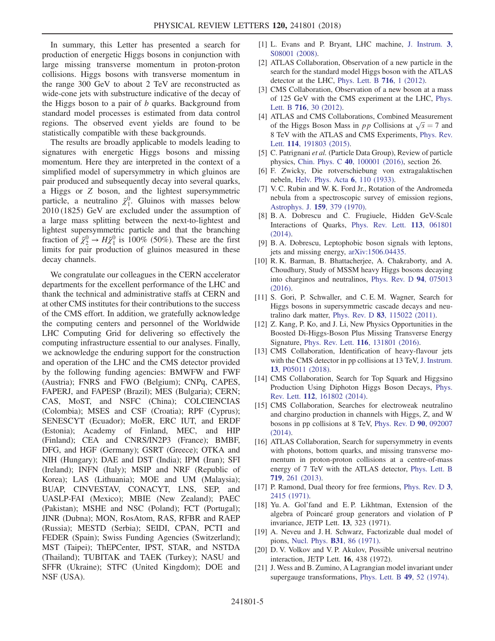In summary, this Letter has presented a search for production of energetic Higgs bosons in conjunction with large missing transverse momentum in proton-proton collisions. Higgs bosons with transverse momentum in the range 300 GeV to about 2 TeV are reconstructed as wide-cone jets with substructure indicative of the decay of the Higgs boson to a pair of  $b$  quarks. Background from standard model processes is estimated from data control regions. The observed event yields are found to be statistically compatible with these backgrounds.

The results are broadly applicable to models leading to signatures with energetic Higgs bosons and missing momentum. Here they are interpreted in the context of a simplified model of supersymmetry in which gluinos are pair produced and subsequently decay into several quarks, a Higgs or Z boson, and the lightest supersymmetric particle, a neutralino  $\tilde{\chi}_1^0$ . Gluinos with masses below 2010 (1825) GeV are excluded under the assumption of a large mass splitting between the next-to-lightest and lightest supersymmetric particle and that the branching fraction of  $\tilde{\chi}^0_2 \rightarrow H \tilde{\chi}^0_1$  is 100% (50%). These are the first<br>limits for pair production of gluinos measured in these limits for pair production of gluinos measured in these decay channels.

We congratulate our colleagues in the CERN accelerator departments for the excellent performance of the LHC and thank the technical and administrative staffs at CERN and at other CMS institutes for their contributions to the success of the CMS effort. In addition, we gratefully acknowledge the computing centers and personnel of the Worldwide LHC Computing Grid for delivering so effectively the computing infrastructure essential to our analyses. Finally, we acknowledge the enduring support for the construction and operation of the LHC and the CMS detector provided by the following funding agencies: BMWFW and FWF (Austria); FNRS and FWO (Belgium); CNPq, CAPES, FAPERJ, and FAPESP (Brazil); MES (Bulgaria); CERN; CAS, MoST, and NSFC (China); COLCIENCIAS (Colombia); MSES and CSF (Croatia); RPF (Cyprus); SENESCYT (Ecuador); MoER, ERC IUT, and ERDF (Estonia); Academy of Finland, MEC, and HIP (Finland); CEA and CNRS/IN2P3 (France); BMBF, DFG, and HGF (Germany); GSRT (Greece); OTKA and NIH (Hungary); DAE and DST (India); IPM (Iran); SFI (Ireland); INFN (Italy); MSIP and NRF (Republic of Korea); LAS (Lithuania); MOE and UM (Malaysia); BUAP, CINVESTAV, CONACYT, LNS, SEP, and UASLP-FAI (Mexico); MBIE (New Zealand); PAEC (Pakistan); MSHE and NSC (Poland); FCT (Portugal); JINR (Dubna); MON, RosAtom, RAS, RFBR and RAEP (Russia); MESTD (Serbia); SEIDI, CPAN, PCTI and FEDER (Spain); Swiss Funding Agencies (Switzerland); MST (Taipei); ThEPCenter, IPST, STAR, and NSTDA (Thailand); TUBITAK and TAEK (Turkey); NASU and SFFR (Ukraine); STFC (United Kingdom); DOE and NSF (USA).

- <span id="page-4-0"></span>[1] L. Evans and P. Bryant, LHC machine, [J. Instrum.](https://doi.org/10.1088/1748-0221/3/08/S08001) 3, [S08001 \(2008\)](https://doi.org/10.1088/1748-0221/3/08/S08001).
- <span id="page-4-1"></span>[2] ATLAS Collaboration, Observation of a new particle in the search for the standard model Higgs boson with the ATLAS detector at the LHC, [Phys. Lett. B](https://doi.org/10.1016/j.physletb.2012.08.020) 716, 1 (2012).
- [3] CMS Collaboration, Observation of a new boson at a mass of 125 GeV with the CMS experiment at the LHC, [Phys.](https://doi.org/10.1016/j.physletb.2012.08.021) Lett. B 716[, 30 \(2012\)](https://doi.org/10.1016/j.physletb.2012.08.021).
- [4] ATLAS and CMS Collaborations, Combined Measurement of the Higgs Boson Mass in pp Collisions at  $\sqrt{s} = 7$  and  $\sqrt{s} = 7$  and  $\sqrt{s} = 8$  TeV with the ATI AS and CMS Experiments. Phys. Rev. 8 TeV with the ATLAS and CMS Experiments, [Phys. Rev.](https://doi.org/10.1103/PhysRevLett.114.191803) Lett. **114**[, 191803 \(2015\)](https://doi.org/10.1103/PhysRevLett.114.191803).
- <span id="page-4-2"></span>[5] C. Patrignani et al. (Particle Data Group), Review of particle physics, Chin. Phys. C 40[, 100001 \(2016\),](https://doi.org/10.1088/1674-1137/40/10/100001) section 26.
- [6] F. Zwicky, Die rotverschiebung von extragalaktischen nebeln, [Helv. Phys. Acta](https://doi.org/10.5169/seals-110267) 6, 110 (1933).
- [7] V. C. Rubin and W. K. Ford Jr., Rotation of the Andromeda nebula from a spectroscopic survey of emission regions, [Astrophys. J.](https://doi.org/10.1086/150317) 159, 379 (1970).
- <span id="page-4-3"></span>[8] B. A. Dobrescu and C. Frugiuele, Hidden GeV-Scale Interactions of Quarks, [Phys. Rev. Lett.](https://doi.org/10.1103/PhysRevLett.113.061801) 113, 061801 [\(2014\).](https://doi.org/10.1103/PhysRevLett.113.061801)
- [9] B. A. Dobrescu, Leptophobic boson signals with leptons, jets and missing energy, [arXiv:1506.04435.](http://arXiv.org/abs/1506.04435)
- <span id="page-4-4"></span>[10] R. K. Barman, B. Bhattacherjee, A. Chakraborty, and A. Choudhury, Study of MSSM heavy Higgs bosons decaying into charginos and neutralinos, [Phys. Rev. D](https://doi.org/10.1103/PhysRevD.94.075013) 94, 075013 [\(2016\).](https://doi.org/10.1103/PhysRevD.94.075013)
- <span id="page-4-5"></span>[11] S. Gori, P. Schwaller, and C. E. M. Wagner, Search for Higgs bosons in supersymmetric cascade decays and neutralino dark matter, Phys. Rev. D 83[, 115022 \(2011\).](https://doi.org/10.1103/PhysRevD.83.115022)
- [12] Z. Kang, P. Ko, and J. Li, New Physics Opportunities in the Boosted Di-Higgs-Boson Plus Missing Transverse Energy Signature, Phys. Rev. Lett. 116[, 131801 \(2016\).](https://doi.org/10.1103/PhysRevLett.116.131801)
- <span id="page-4-6"></span>[13] CMS Collaboration, Identification of heavy-flavour jets with the CMS detector in pp collisions at 13 TeV, [J. Instrum.](https://doi.org/10.1088/1748-0221/13/05/P05011) 13[, P05011 \(2018\)](https://doi.org/10.1088/1748-0221/13/05/P05011).
- <span id="page-4-7"></span>[14] CMS Collaboration, Search for Top Squark and Higgsino Production Using Diphoton Higgs Boson Decays, [Phys.](https://doi.org/10.1103/PhysRevLett.112.161802) Rev. Lett. 112[, 161802 \(2014\).](https://doi.org/10.1103/PhysRevLett.112.161802)
- [15] CMS Collaboration, Searches for electroweak neutralino and chargino production in channels with Higgs, Z, and W bosons in pp collisions at 8 TeV, [Phys. Rev. D](https://doi.org/10.1103/PhysRevD.90.092007) 90, 092007 [\(2014\).](https://doi.org/10.1103/PhysRevD.90.092007)
- <span id="page-4-8"></span>[16] ATLAS Collaboration, Search for supersymmetry in events with photons, bottom quarks, and missing transverse momentum in proton-proton collisions at a centre-of-mass energy of 7 TeV with the ATLAS detector, [Phys. Lett. B](https://doi.org/10.1016/j.physletb.2013.01.041) 719[, 261 \(2013\)](https://doi.org/10.1016/j.physletb.2013.01.041).
- <span id="page-4-9"></span>[17] P. Ramond, Dual theory for free fermions, [Phys. Rev. D](https://doi.org/10.1103/PhysRevD.3.2415) 3, [2415 \(1971\)](https://doi.org/10.1103/PhysRevD.3.2415).
- [18] Yu. A. Gol'fand and E. P. Likhtman, Extension of the algebra of Poincaré group generators and violation of P invariance, JETP Lett. 13, 323 (1971).
- [19] A. Neveu and J. H. Schwarz, Factorizable dual model of pions, [Nucl. Phys.](https://doi.org/10.1016/0550-3213(71)90448-2) B31, 86 (1971).
- [20] D. V. Volkov and V. P. Akulov, Possible universal neutrino interaction, JETP Lett. 16, 438 (1972).
- [21] J. Wess and B. Zumino, A Lagrangian model invariant under supergauge transformations, [Phys. Lett. B](https://doi.org/10.1016/0370-2693(74)90578-4) 49, 52 (1974).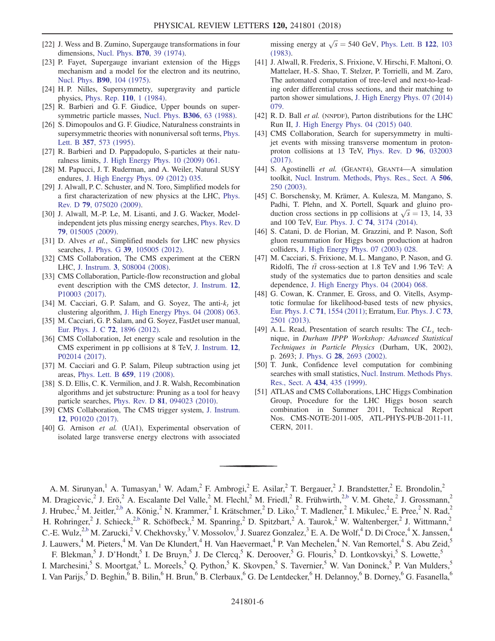- [22] J. Wess and B. Zumino, Supergauge transformations in four dimensions, [Nucl. Phys.](https://doi.org/10.1016/0550-3213(74)90355-1) B70, 39 (1974).
- [23] P. Fayet, Supergauge invariant extension of the Higgs mechanism and a model for the electron and its neutrino, Nucl. Phys. B90[, 104 \(1975\)](https://doi.org/10.1016/0550-3213(75)90636-7).
- [24] H. P. Nilles, Supersymmetry, supergravity and particle physics, [Phys. Rep.](https://doi.org/10.1016/0370-1573(84)90008-5) 110, 1 (1984).
- <span id="page-5-0"></span>[25] R. Barbieri and G. F. Giudice, Upper bounds on supersymmetric particle masses, [Nucl. Phys.](https://doi.org/10.1016/0550-3213(88)90171-X) B306, 63 (1988).
- <span id="page-5-1"></span>[26] S. Dimopoulos and G. F. Giudice, Naturalness constraints in supersymmetric theories with nonuniversal soft terms, [Phys.](https://doi.org/10.1016/0370-2693(95)00961-J) Lett. B 357[, 573 \(1995\).](https://doi.org/10.1016/0370-2693(95)00961-J)
- [27] R. Barbieri and D. Pappadopulo, S-particles at their naturalness limits, [J. High Energy Phys. 10 \(2009\) 061.](https://doi.org/10.1088/1126-6708/2009/10/061)
- [28] M. Papucci, J. T. Ruderman, and A. Weiler, Natural SUSY endures, [J. High Energy Phys. 09 \(2012\) 035.](https://doi.org/10.1007/JHEP09(2012)035)
- <span id="page-5-2"></span>[29] J. Alwall, P. C. Schuster, and N. Toro, Simplified models for a first characterization of new physics at the LHC, [Phys.](https://doi.org/10.1103/PhysRevD.79.075020) Rev. D 79[, 075020 \(2009\)](https://doi.org/10.1103/PhysRevD.79.075020).
- [30] J. Alwall, M.-P. Le, M. Lisanti, and J. G. Wacker, Modelindependent jets plus missing energy searches, [Phys. Rev. D](https://doi.org/10.1103/PhysRevD.79.015005) 79[, 015005 \(2009\).](https://doi.org/10.1103/PhysRevD.79.015005)
- [31] D. Alves et al., Simplified models for LHC new physics searches, J. Phys. G 39[, 105005 \(2012\)](https://doi.org/10.1088/0954-3899/39/10/105005).
- <span id="page-5-3"></span>[32] CMS Collaboration, The CMS experiment at the CERN LHC, J. Instrum. 3[, S08004 \(2008\).](https://doi.org/10.1088/1748-0221/3/08/S08004)
- <span id="page-5-4"></span>[33] CMS Collaboration, Particle-flow reconstruction and global event description with the CMS detector, [J. Instrum.](https://doi.org/10.1088/1748-0221/12/10/P10003) 12, [P10003 \(2017\)](https://doi.org/10.1088/1748-0221/12/10/P10003).
- <span id="page-5-5"></span>[34] M. Cacciari, G. P. Salam, and G. Soyez, The anti- $k_t$  jet clustering algorithm, [J. High Energy Phys. 04 \(2008\) 063.](https://doi.org/10.1088/1126-6708/2008/04/063)
- [35] M. Cacciari, G. P. Salam, and G. Soyez, FastJet user manual, [Eur. Phys. J. C](https://doi.org/10.1140/epjc/s10052-012-1896-2) 72, 1896 (2012).
- <span id="page-5-6"></span>[36] CMS Collaboration, Jet energy scale and resolution in the CMS experiment in pp collisions at 8 TeV, [J. Instrum.](https://doi.org/10.1088/1748-0221/12/02/P02014) 12, [P02014 \(2017\)](https://doi.org/10.1088/1748-0221/12/02/P02014).
- <span id="page-5-7"></span>[37] M. Cacciari and G. P. Salam, Pileup subtraction using jet areas, [Phys. Lett. B](https://doi.org/10.1016/j.physletb.2007.09.077) 659, 119 (2008).
- <span id="page-5-8"></span>[38] S. D. Ellis, C. K. Vermilion, and J. R. Walsh, Recombination algorithms and jet substructure: Pruning as a tool for heavy particle searches, Phys. Rev. D 81[, 094023 \(2010\)](https://doi.org/10.1103/PhysRevD.81.094023).
- <span id="page-5-9"></span>[39] CMS Collaboration, The CMS trigger system, [J. Instrum.](https://doi.org/10.1088/1748-0221/12/01/P01020) 12[, P01020 \(2017\)](https://doi.org/10.1088/1748-0221/12/01/P01020).
- <span id="page-5-10"></span>[40] G. Arnison et al. (UA1), Experimental observation of isolated large transverse energy electrons with associated

missing energy at  $\sqrt{s} = 540 \text{ GeV}$ , [Phys. Lett. B](https://doi.org/10.1016/0370-2693(83)91177-2) 122, 103 (1983) [\(1983\).](https://doi.org/10.1016/0370-2693(83)91177-2)

- <span id="page-5-11"></span>[41] J. Alwall, R. Frederix, S. Frixione, V. Hirschi, F. Maltoni, O. Mattelaer, H.-S. Shao, T. Stelzer, P. Torrielli, and M. Zaro, The automated computation of tree-level and next-to-leading order differential cross sections, and their matching to parton shower simulations, [J. High Energy Phys. 07 \(2014\)](https://doi.org/10.1007/JHEP07(2014)079) [079.](https://doi.org/10.1007/JHEP07(2014)079)
- <span id="page-5-12"></span>[42] R. D. Ball et al. (NNPDF), Parton distributions for the LHC Run II, [J. High Energy Phys. 04 \(2015\) 040.](https://doi.org/10.1007/JHEP04(2015)040)
- <span id="page-5-13"></span>[43] CMS Collaboration, Search for supersymmetry in multijet events with missing transverse momentum in protonproton collisions at 13 TeV, [Phys. Rev. D](https://doi.org/10.1103/PhysRevD.96.032003) 96, 032003 [\(2017\).](https://doi.org/10.1103/PhysRevD.96.032003)
- <span id="page-5-14"></span>[44] S. Agostinelli et al. (GEANT4), GEANT4—A simulation toolkit, [Nucl. Instrum. Methods, Phys. Res., Sect. A](https://doi.org/10.1016/S0168-9002(03)01368-8) 506, [250 \(2003\)](https://doi.org/10.1016/S0168-9002(03)01368-8).
- <span id="page-5-15"></span>[45] C. Borschensky, M. Krämer, A. Kulesza, M. Mangano, S. Padhi, T. Plehn, and X. Portell, Squark and gluino production cross sections in pp collisions at  $\sqrt{s} = 13$ , 14, 33<br>and 100 TeV Fur Phys I C 74, 3174 (2014) and 100 TeV, [Eur. Phys. J. C](https://doi.org/10.1140/epjc/s10052-014-3174-y) 74, 3174 (2014).
- <span id="page-5-16"></span>[46] S. Catani, D. de Florian, M. Grazzini, and P. Nason, Soft gluon resummation for Higgs boson production at hadron colliders, [J. High Energy Phys. 07 \(2003\) 028.](https://doi.org/10.1088/1126-6708/2003/07/028)
- [47] M. Cacciari, S. Frixione, M. L. Mangano, P. Nason, and G. Ridolfi, The  $t\bar{t}$  cross-section at 1.8 TeV and 1.96 TeV: A study of the systematics due to parton densities and scale dependence, [J. High Energy Phys. 04 \(2004\) 068.](https://doi.org/10.1088/1126-6708/2004/04/068)
- <span id="page-5-17"></span>[48] G. Cowan, K. Cranmer, E. Gross, and O. Vitells, Asymptotic formulae for likelihood-based tests of new physics, [Eur. Phys. J. C](https://doi.org/10.1140/epjc/s10052-011-1554-0) 71, 1554 (2011); Erratum, [Eur. Phys. J. C](https://doi.org/10.1140/epjc/s10052-013-2501-z) 73, [2501 \(2013\)](https://doi.org/10.1140/epjc/s10052-013-2501-z).
- <span id="page-5-18"></span>[49] A. L. Read, Presentation of search results: The  $CL<sub>s</sub>$  technique, in Durham IPPP Workshop: Advanced Statistical Techniques in Particle Physics (Durham, UK, 2002), p. 2693; J. Phys. G 28[, 2693 \(2002\).](https://doi.org/10.1088/0954-3899/28/10/313)
- [50] T. Junk, Confidence level computation for combining searches with small statistics, [Nucl. Instrum. Methods Phys.](https://doi.org/10.1016/S0168-9002(99)00498-2) [Res., Sect. A](https://doi.org/10.1016/S0168-9002(99)00498-2) 434, 435 (1999).
- [51] ATLAS and CMS Collaborations, LHC Higgs Combination Group, Procedure for the LHC Higgs boson search combination in Summer 2011, Technical Report Nos. CMS-NOTE-2011-005, ATL-PHYS-PUB-2011-11, CERN, 2011.

A. M. Sirunyan,<sup>1</sup> A. Tumasyan,<sup>1</sup> W. Adam,<sup>2</sup> F. Ambrogi,<sup>2</sup> E. Asilar,<sup>2</sup> T. Bergauer,<sup>2</sup> J. Brandstetter,<sup>2</sup> E. Brondolin,<sup>2</sup> M. Dragicevic,<sup>2</sup> J. Erö,<sup>2</sup> A. Escalante Del Valle,<sup>2</sup> M. Flechl,<sup>2</sup> M. Friedl,<sup>2</sup> R. Frühwirth,<sup>[2,b](#page-15-0)</sup> V. M. Ghete,<sup>2</sup> J. Grossmann,<sup>2</sup> J. Hrubec,<sup>2</sup> M. Jeitler,<sup>2[,b](#page-15-0)</sup> A. König,<sup>2</sup> N. Krammer,<sup>2</sup> I. Krätschmer,<sup>2</sup> D. Liko,<sup>2</sup> T. Madlener,<sup>2</sup> I. Mikulec,<sup>2</sup> E. Pree,<sup>2</sup> N. Rad,<sup>2</sup> H. Rohringer,<sup>2</sup> J. Schieck,<sup>[2,b](#page-15-0)</sup> R. Schöfbeck,<sup>2</sup> M. Spanring,<sup>2</sup> D. Spitzbart,<sup>2</sup> A. Taurok,<sup>2</sup> W. Waltenberger,<sup>2</sup> J. Wittmann,<sup>2</sup> C.-E. Wulz,  $^{2,b}$  $^{2,b}$  $^{2,b}$  M. Zarucki,  $^2$  V. Chekhovsky,  $^3$  V. Mossolov,  $^3$  J. Suarez Gonzalez,  $^3$  E. A. De Wolf,  $^4$  D. Di Croce,  $^4$  X. Janssen,  $^4$ J. Lauwers,<sup>4</sup> M. Pieters,<sup>4</sup> M. Van De Klundert,<sup>4</sup> H. Van Haevermaet,<sup>4</sup> P. Van Mechelen,<sup>4</sup> N. Van Remortel,<sup>4</sup> S. Abu Zeid,<sup>5</sup>

<span id="page-5-19"></span>F. Blekman,<sup>5</sup> J. D'Hondt,<sup>5</sup> I. De Bruyn,<sup>5</sup> J. De Clercq,<sup>5</sup> K. Deroover,<sup>5</sup> G. Flouris,<sup>5</sup> D. Lontkovskyi,<sup>5</sup> S. Lowette,<sup>5</sup> I. Marchesini,<sup>5</sup> S. Moortgat,<sup>5</sup> L. Moreels,<sup>5</sup> Q. Python,<sup>5</sup> K. Skovpen,<sup>5</sup> S. Tavernier,<sup>5</sup> W. Van Doninck,<sup>5</sup> P. Van Mulders,<sup>5</sup>

I. Van Parijs,<sup>5</sup> D. Beghin,<sup>6</sup> B. Bilin,<sup>6</sup> H. Brun,<sup>6</sup> B. Clerbaux,<sup>6</sup> G. De Lentdecker,<sup>6</sup> H. Delannoy,<sup>6</sup> B. Dorney,<sup>6</sup> G. Fasanella,<sup>6</sup>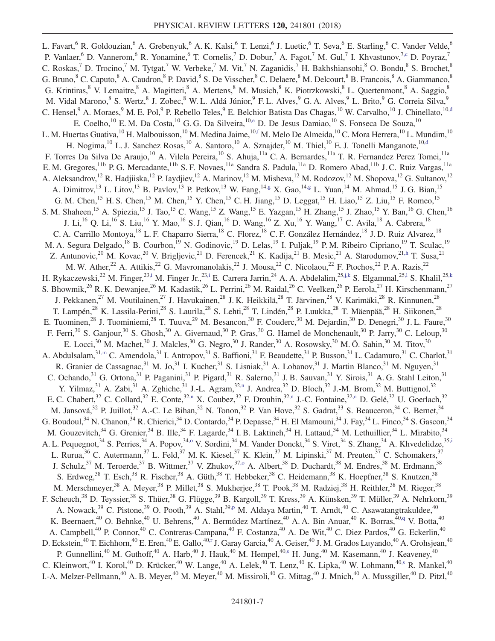<span id="page-6-14"></span><span id="page-6-13"></span><span id="page-6-12"></span><span id="page-6-11"></span><span id="page-6-10"></span><span id="page-6-9"></span><span id="page-6-8"></span><span id="page-6-7"></span><span id="page-6-6"></span><span id="page-6-5"></span><span id="page-6-4"></span><span id="page-6-3"></span><span id="page-6-2"></span><span id="page-6-1"></span><span id="page-6-0"></span>L. Favart,<sup>6</sup> R. Goldouzian,<sup>6</sup> A. Grebenyuk,<sup>6</sup> A. K. Kalsi,<sup>6</sup> T. Lenzi,<sup>6</sup> J. Luetic,<sup>6</sup> T. Seva,<sup>6</sup> E. Starling,<sup>6</sup> C. Vander Velde, P. Vanlaer,<sup>6</sup> D. Vannerom,<sup>6</sup> R. Yonamine,<sup>6</sup> T. Cornelis,<sup>7</sup> D. Dobur,<sup>7</sup> A. Fagot,<sup>7</sup> M. Gul,<sup>7</sup> I. Khvastunov,<sup>[7,c](#page-15-1)</sup> D. Poyraz,<sup>7</sup> C. Roskas,<sup>7</sup> D. Trocino,<sup>7</sup> M. Tytgat,<sup>7</sup> W. Verbeke,<sup>7</sup> M. Vit,<sup>7</sup> N. Zaganidis,<sup>7</sup> H. Bakhshiansohi,<sup>8</sup> O. Bondu,<sup>8</sup> S. Brochet,<sup>8</sup> G. Bruno,  $8^8$  C. Caputo,  $8^8$  A. Caudron,  $8^8$  P. David,  $8^8$  S. De Visscher,  $8^8$  C. Delaere,  $8^8$  M. Delcourt,  $8^8$  B. Francois,  $8^8$  A. Giammanco,  $8^8$ G. Krintiras,<sup>8</sup> V. Lemaitre,<sup>8</sup> A. Magitteri,<sup>8</sup> A. Mertens,<sup>8</sup> M. Musich,<sup>8</sup> K. Piotrzkowski,<sup>8</sup> L. Quertenmont,<sup>8</sup> A. Saggio,<sup>8</sup> M. Vidal Marono, <sup>8</sup> S. Wertz, <sup>8</sup> J. Zobec, <sup>8</sup> W. L. Aldá Júnior, <sup>9</sup> F. L. Alves, <sup>9</sup> G. A. Alves, <sup>9</sup> L. Brito, <sup>9</sup> G. Correia Silva, C. Hensel,<sup>9</sup> A. Moraes,<sup>9</sup> M. E. Pol,<sup>9</sup> P. Rebello Teles,<sup>9</sup> E. Belchior Batista Das Chagas,<sup>10</sup> W. Carvalho,<sup>10</sup> J. Chinellato,<sup>10[,d](#page-15-2)</sup> E. Coelho,<sup>10</sup> E. M. Da Costa,<sup>10</sup> G. G. Da Silveira,<sup>1[0,e](#page-15-3)</sup> D. De Jesus Damiao,<sup>10</sup> S. Fonseca De Souza,<sup>10</sup> L. M. Huertas Guativa,<sup>10</sup> H. Malbouisson,<sup>10</sup> M. Medina Jaime,<sup>1[0,f](#page-15-4)</sup> M. Melo De Almeida,<sup>10</sup> C. Mora Herrera,<sup>10</sup> L. Mundim,<sup>10</sup> H. Nogima,<sup>10</sup> L. J. Sanchez Rosas,<sup>10</sup> A. Santoro,<sup>10</sup> A. Sznajder,<sup>10</sup> M. Thiel,<sup>10</sup> E. J. Tonelli Manganote,<sup>10[,d](#page-15-2)</sup> F. Torres Da Silva De Araujo,<sup>10</sup> A. Vilela Pereira,<sup>10</sup> S. Ahuja,<sup>11a</sup> C. A. Bernardes,<sup>11a</sup> T. R. Fernandez Perez Tomei,<sup>11a</sup> E. M. Gregores,<sup>11b</sup> P. G. Mercadante,<sup>11b</sup> S. F. Novaes,<sup>11a</sup> Sandra S. Padula,<sup>11a</sup> D. Romero Abad,<sup>11b</sup> J. C. Ruiz Vargas,<sup>11a</sup> A. Aleksandrov,<sup>12</sup> R. Hadjiiska,<sup>12</sup> P. Iaydjiev,<sup>12</sup> A. Marinov,<sup>12</sup> M. Misheva,<sup>12</sup> M. Rodozov,<sup>12</sup> M. Shopova,<sup>12</sup> G. Sultanov,<sup>12</sup> A. Dimitrov,<sup>13</sup> L. Litov,<sup>13</sup> B. Pavlov,<sup>13</sup> P. Petkov,<sup>13</sup> W. Fang,<sup>14[,g](#page-15-5)</sup> X. Gao,<sup>1[4,g](#page-15-5)</sup> L. Yuan,<sup>14</sup> M. Ahmad,<sup>15</sup> J. G. Bian,<sup>15</sup> G. M. Chen,<sup>15</sup> H. S. Chen,<sup>15</sup> M. Chen,<sup>15</sup> Y. Chen,<sup>15</sup> C. H. Jiang,<sup>15</sup> D. Leggat,<sup>15</sup> H. Liao,<sup>15</sup> Z. Liu,<sup>15</sup> F. Romeo,<sup>15</sup> S. M. Shaheen,<sup>15</sup> A. Spiezia,<sup>15</sup> J. Tao,<sup>15</sup> C. Wang,<sup>15</sup> Z. Wang,<sup>15</sup> E. Yazgan,<sup>15</sup> H. Zhang,<sup>15</sup> J. Zhao,<sup>15</sup> Y. Ban,<sup>16</sup> G. Chen,<sup>16</sup> J. Li,<sup>16</sup> Q. Li,<sup>16</sup> S. Liu,<sup>16</sup> Y. Mao,<sup>16</sup> S. J. Qian,<sup>16</sup> D. Wang,<sup>16</sup> Z. Xu,<sup>16</sup> Y. Wang,<sup>17</sup> C. Avila,<sup>18</sup> A. Cabrera,<sup>18</sup> C. A. Carrillo Montoya,<sup>18</sup> L. F. Chaparro Sierra,<sup>18</sup> C. Florez,<sup>18</sup> C. F. González Hernández,<sup>18</sup> J. D. Ruiz Alvarez,<sup>18</sup> M. A. Segura Delgado,<sup>18</sup> B. Courbon,<sup>19</sup> N. Godinovic,<sup>19</sup> D. Lelas,<sup>19</sup> I. Puljak,<sup>19</sup> P. M. Ribeiro Cipriano,<sup>19</sup> T. Sculac,<sup>19</sup> Z. Antunovic,<sup>20</sup> M. Kovac,<sup>20</sup> V. Brigljevic,<sup>21</sup> D. Ferencek,<sup>21</sup> K. Kadija,<sup>21</sup> B. Mesic,<sup>21</sup> A. Starodumov,<sup>21[,h](#page-15-6)</sup> T. Susa,<sup>21</sup> M. W. Ather,<sup>22</sup> A. Attikis,<sup>22</sup> G. Mavromanolakis,<sup>22</sup> J. Mousa,<sup>22</sup> C. Nicolaou,<sup>22</sup> F. Ptochos,<sup>22</sup> P. A. Razis,<sup>22</sup> H. Rykaczewski,<sup>22</sup> M. Finger,<sup>23[,i](#page-15-7)</sup> M. Finger Jr.,<sup>2[3,i](#page-15-7)</sup> E. Carrera Jarrin,<sup>24</sup> A. A. Abdelalim,<sup>25[,j,k](#page-15-8)</sup> S. Elgammal,<sup>25[,l](#page-15-9)</sup> S. Khalil,<sup>25[,k](#page-15-10)</sup> S. Bhowmik,<sup>26</sup> R. K. Dewanjee,<sup>26</sup> M. Kadastik,<sup>26</sup> L. Perrini,<sup>26</sup> M. Raidal,<sup>26</sup> C. Veelken,<sup>26</sup> P. Eerola,<sup>27</sup> H. Kirschenmann,<sup>27</sup> J. Pekkanen,<sup>27</sup> M. Voutilainen,<sup>27</sup> J. Havukainen,<sup>28</sup> J. K. Heikkilä,<sup>28</sup> T. Järvinen,<sup>28</sup> V. Karimäki,<sup>28</sup> R. Kinnunen,<sup>28</sup> T. Lampén,<sup>28</sup> K. Lassila-Perini,<sup>28</sup> S. Laurila,<sup>28</sup> S. Lehti,<sup>28</sup> T. Lindén,<sup>28</sup> P. Luukka,<sup>28</sup> T. Mäenpää,<sup>28</sup> H. Siikonen,<sup>28</sup> E. Tuominen,<sup>28</sup> J. Tuominiemi,<sup>28</sup> T. Tuuva,<sup>29</sup> M. Besancon,<sup>30</sup> F. Couderc,<sup>30</sup> M. Dejardin,<sup>30</sup> D. Denegri,<sup>30</sup> J. L. Faure,<sup>30</sup> F. Ferri,<sup>30</sup> S. Ganjour,<sup>30</sup> S. Ghosh,<sup>30</sup> A. Givernaud,<sup>30</sup> P. Gras,<sup>30</sup> G. Hamel de Monchenault,<sup>30</sup> P. Jarry,<sup>30</sup> C. Leloup,<sup>30</sup> E. Locci,<sup>30</sup> M. Machet,<sup>30</sup> J. Malcles,<sup>30</sup> G. Negro,<sup>30</sup> J. Rander,<sup>30</sup> A. Rosowsky,<sup>30</sup> M. Ö. Sahin,<sup>30</sup> M. Titov,<sup>30</sup> A. Abdulsalam,  $31 \text{ m}$  C. Amendola,  $31 \text{ L}$ . Antropov,  $31 \text{ S}$ . Baffioni,  $31 \text{ F}$ . Beaudette,  $31 \text{ P}$ . Busson,  $31 \text{ L}$ . Cadamuro,  $31 \text{ C}$ . Charlot,  $31 \text{ C}$ R. Granier de Cassagnac,<sup>31</sup> M. Jo,<sup>31</sup> I. Kucher,<sup>31</sup> S. Lisniak,<sup>31</sup> A. Lobanov,<sup>31</sup> J. Martin Blanco,<sup>31</sup> M. Nguyen,<sup>31</sup> C. Ochando,<sup>31</sup> G. Ortona,<sup>31</sup> P. Paganini,<sup>31</sup> P. Pigard,<sup>31</sup> R. Salerno,<sup>31</sup> J. B. Sauvan,<sup>31</sup> Y. Sirois,<sup>31</sup> A. G. Stahl Leiton,<sup>31</sup> Y. Yilmaz,<sup>31</sup> A. Zabi,<sup>31</sup> A. Zghiche,<sup>31</sup> J.-L. Agram,<sup>32[,n](#page-15-12)</sup> J. Andrea,<sup>32</sup> D. Bloch,<sup>32</sup> J.-M. Brom,<sup>32</sup> M. Buttignol,<sup>32</sup> E. C. Chabert,  $32$  C. Collard,  $32$  E. Conte,  $32, n$  X. Coubez,  $32$  F. Drouhin,  $32, n$  J.-C. Fontaine,  $32, n$  D. Gelé,  $32$  U. Goerlach,  $32$ M. Jansová,<sup>32</sup> P. Juillot,<sup>32</sup> A.-C. Le Bihan,<sup>32</sup> N. Tonon,<sup>32</sup> P. Van Hove,<sup>32</sup> S. Gadrat,<sup>33</sup> S. Beauceron,<sup>34</sup> C. Bernet,<sup>34</sup> G. Boudoul,  $34$  N. Chanon,  $34$  R. Chierici,  $34$  D. Contardo,  $34$  P. Depasse,  $34$  H. El Mamouni,  $34$  J. Fay,  $34$  L. Finco,  $34$  S. Gascon,  $34$ M. Gouzevitch,<sup>34</sup> G. Grenier,<sup>34</sup> B. Ille,<sup>34</sup> F. Lagarde,<sup>34</sup> I. B. Laktineh,<sup>34</sup> H. Lattaud,<sup>34</sup> M. Lethuillier,<sup>34</sup> L. Mirabito,<sup>34</sup> A. L. Pequegnot,<sup>34</sup> S. Perries,<sup>34</sup> A. Popov,<sup>3[4,o](#page-15-13)</sup> V. Sordini,<sup>34</sup> M. Vander Donckt,<sup>34</sup> S. Viret,<sup>34</sup> S. Zhang,<sup>34</sup> A. Khvedelidze,<sup>3[5,i](#page-15-7)</sup> L. Rurua,  $36$  C. Autermann,  $37$  L. Feld,  $37$  M. K. Kiesel,  $37$  K. Klein,  $37$  M. Lipinski,  $37$  M. Preuten,  $37$  C. Schomakers,  $37$ J. Schulz,<sup>37</sup> M. Teroerde,<sup>37</sup> B. Wittmer,<sup>37</sup> V. Zhukov,<sup>37,0</sup> A. Albert,<sup>38</sup> D. Duchardt,<sup>38</sup> M. Endres,<sup>38</sup> M. Erdmann,<sup>38</sup> S. Erdweg,<sup>38</sup> T. Esch,<sup>38</sup> R. Fischer,<sup>38</sup> A. Güth,<sup>38</sup> T. Hebbeker,<sup>38</sup> C. Heidemann,<sup>38</sup> K. Hoepfner,<sup>38</sup> S. Knutzen,<sup>38</sup> M. Merschmeyer,<sup>38</sup> A. Meyer,<sup>38</sup> P. Millet,<sup>38</sup> S. Mukherjee,<sup>38</sup> T. Pook,<sup>38</sup> M. Radziej,<sup>38</sup> H. Reithler,<sup>38</sup> M. Rieger,<sup>38</sup> F. Scheuch,<sup>38</sup> D. Teyssier,<sup>38</sup> S. Thüer,<sup>38</sup> G. Flügge,<sup>39</sup> B. Kargoll,<sup>39</sup> T. Kress,<sup>39</sup> A. Künsken,<sup>39</sup> T. Müller,<sup>39</sup> A. Nehrkorn,<sup>39</sup> A. Nowack,<sup>39</sup> C. Pistone,<sup>39</sup> O. Pooth,<sup>39</sup> A. Stahl,<sup>3[9,p](#page-15-14)</sup> M. Aldaya Martin,<sup>40</sup> T. Arndt,<sup>40</sup> C. Asawatangtrakuldee,<sup>40</sup> K. Beernaert,<sup>40</sup> O. Behnke,<sup>40</sup> U. Behrens,<sup>40</sup> A. Bermúdez Martínez,<sup>40</sup> A. A. Bin Anuar,<sup>40</sup> K. Borras,<sup>40[,q](#page-15-15)</sup> V. Botta,<sup>40</sup> A. Campbell,<sup>40</sup> P. Connor,<sup>40</sup> C. Contreras-Campana,<sup>40</sup> F. Costanza,<sup>40</sup> A. De Wit,<sup>40</sup> C. Diez Pardos,<sup>40</sup> G. Eckerlin,<sup>40</sup> D. Eckstein,<sup>40</sup> T. Eichhorn,<sup>40</sup> E. Eren,<sup>40</sup> E. Gallo,<sup>40[,r](#page-15-16)</sup> J. Garay Garcia,<sup>40</sup> A. Geiser,<sup>40</sup> J. M. Grados Luyando,<sup>40</sup> A. Grohsjean,<sup>40</sup> P. Gunnellini,<sup>40</sup> M. Guthoff,<sup>40</sup> A. Harb,<sup>40</sup> J. Hauk,<sup>40</sup> M. Hempel,<sup>4[0,s](#page-15-17)</sup> H. Jung,<sup>40</sup> M. Kasemann,<sup>40</sup> J. Keaveney,<sup>40</sup> C. Kleinwort,<sup>40</sup> I. Korol,<sup>40</sup> D. Krücker,<sup>40</sup> W. Lange,<sup>40</sup> A. Lelek,<sup>40</sup> T. Lenz,<sup>40</sup> K. Lipka,<sup>40</sup> W. Lohmann,<sup>40[,s](#page-15-17)</sup> R. Mankel,<sup>40</sup> I.-A. Melzer-Pellmann,<sup>40</sup> A. B. Meyer,<sup>40</sup> M. Meyer,<sup>40</sup> M. Missiroli,<sup>40</sup> G. Mittag,<sup>40</sup> J. Mnich,<sup>40</sup> A. Mussgiller,<sup>40</sup> D. Pitzl,<sup>40</sup>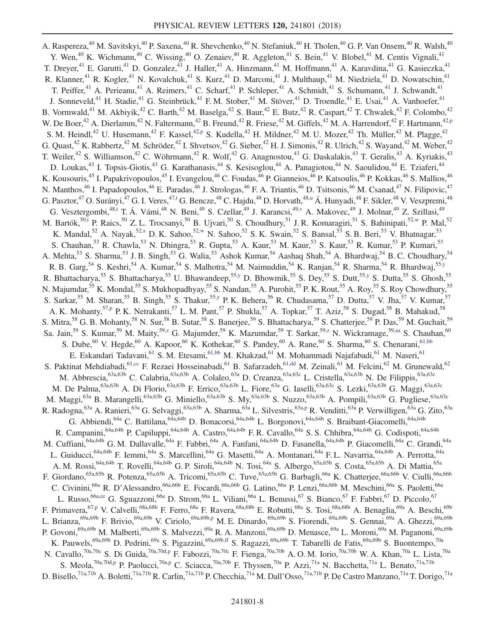<span id="page-7-9"></span><span id="page-7-8"></span><span id="page-7-7"></span><span id="page-7-6"></span><span id="page-7-5"></span><span id="page-7-4"></span><span id="page-7-3"></span><span id="page-7-2"></span><span id="page-7-1"></span><span id="page-7-0"></span>A. Raspereza,<sup>40</sup> M. Savitskyi,<sup>40</sup> P. Saxena,<sup>40</sup> R. Shevchenko,<sup>40</sup> N. Stefaniuk,<sup>40</sup> H. Tholen,<sup>40</sup> G. P. Van Onsem,<sup>40</sup> R. Walsh,<sup>40</sup> Y. Wen,<sup>40</sup> K. Wichmann,<sup>40</sup> C. Wissing,<sup>40</sup> O. Zenaiev,<sup>40</sup> R. Aggleton,<sup>41</sup> S. Bein,<sup>41</sup> V. Blobel,<sup>41</sup> M. Centis Vignali,<sup>41</sup> T. Dreyer,<sup>41</sup> E. Garutti,<sup>41</sup> D. Gonzalez,<sup>41</sup> J. Haller,<sup>41</sup> A. Hinzmann,<sup>41</sup> M. Hoffmann,<sup>41</sup> A. Karavdina,<sup>41</sup> G. Kasieczka,<sup>41</sup> R. Klanner,<sup>41</sup> R. Kogler,<sup>41</sup> N. Kovalchuk,<sup>41</sup> S. Kurz,<sup>41</sup> D. Marconi,<sup>41</sup> J. Multhaup,<sup>41</sup> M. Niedziela,<sup>41</sup> D. Nowatschin,<sup>41</sup> T. Peiffer,<sup>41</sup> A. Perieanu,<sup>41</sup> A. Reimers,<sup>41</sup> C. Scharf,<sup>41</sup> P. Schleper,<sup>41</sup> A. Schmidt,<sup>41</sup> S. Schumann,<sup>41</sup> J. Schwandt,<sup>41</sup> J. Sonneveld,<sup>41</sup> H. Stadie,<sup>41</sup> G. Steinbrück,<sup>41</sup> F.M. Stober,<sup>41</sup> M. Stöver,<sup>41</sup> D. Troendle,<sup>41</sup> E. Usai,<sup>41</sup> A. Vanhoefer,<sup>41</sup> B. Vormwald,<sup>41</sup> M. Akbiyik,<sup>42</sup> C. Barth,<sup>42</sup> M. Baselga,<sup>42</sup> S. Baur,<sup>42</sup> E. Butz,<sup>42</sup> R. Caspart,<sup>42</sup> T. Chwalek,<sup>42</sup> F. Colombo,<sup>42</sup> W. De Boer,<sup>42</sup> A. Dierlamm,<sup>42</sup> N. Faltermann,<sup>42</sup> B. Freund,<sup>42</sup> R. Friese,<sup>42</sup> M. Giffels,<sup>42</sup> M. A. Harrendorf,<sup>42</sup> F. Hartmann,<sup>42[,p](#page-15-14)</sup> S. M. Heindl,<sup>42</sup> U. Husemann,<sup>42</sup> F. Kassel,<sup>4[2,p](#page-15-14)</sup> S. Kudella,<sup>42</sup> H. Mildner,<sup>42</sup> M. U. Mozer,<sup>42</sup> Th. Müller,<sup>42</sup> M. Plagge,<sup>42</sup> G. Quast,<sup>42</sup> K. Rabbertz,<sup>42</sup> M. Schröder,<sup>42</sup> I. Shvetsov,<sup>42</sup> G. Sieber,<sup>42</sup> H. J. Simonis,<sup>42</sup> R. Ulrich,<sup>42</sup> S. Wayand,<sup>42</sup> M. Weber,<sup>42</sup> T. Weiler,<sup>42</sup> S. Williamson,<sup>42</sup> C. Wöhrmann,<sup>42</sup> R. Wolf,<sup>42</sup> G. Anagnostou,<sup>43</sup> G. Daskalakis,<sup>43</sup> T. Geralis,<sup>43</sup> A. Kyriakis,<sup>43</sup> D. Loukas,<sup>43</sup> I. Topsis-Giotis,<sup>43</sup> G. Karathanasis,<sup>44</sup> S. Kesisoglou,<sup>44</sup> A. Panagiotou,<sup>44</sup> N. Saoulidou,<sup>44</sup> E. Tziaferi,<sup>44</sup> K. Kousouris,<sup>45</sup> I. Papakrivopoulos,<sup>45</sup> I. Evangelou,<sup>46</sup> C. Foudas,<sup>46</sup> P. Gianneios,<sup>46</sup> P. Katsoulis,<sup>46</sup> P. Kokkas,<sup>46</sup> S. Mallios,<sup>46</sup> N. Manthos,<sup>46</sup> I. Papadopoulos,<sup>46</sup> E. Paradas,<sup>46</sup> J. Strologas,<sup>46</sup> F. A. Triantis,<sup>46</sup> D. Tsitsonis,<sup>46</sup> M. Csanad,<sup>47</sup> N. Filipovic,<sup>47</sup> G. Pasztor,<sup>47</sup> O. Surányi,<sup>47</sup> G. I. Veres,<sup>47[,t](#page-15-18)</sup> G. Bencze,<sup>48</sup> C. Hajdu,<sup>48</sup> D. Horvath,<sup>48[,u](#page-15-19)</sup> Á. Hunyadi,<sup>48</sup> F. Sikler,<sup>48</sup> V. Veszpremi,<sup>48</sup> G. Vesztergombi,<sup>4[8,t](#page-15-18)</sup> T. Á. Vámi,<sup>48</sup> N. Beni,<sup>49</sup> S. Czellar,<sup>49</sup> J. Karancsi,<sup>49[,v](#page-15-20)</sup> A. Makovec,<sup>49</sup> J. Molnar,<sup>49</sup> Z. Szillasi,<sup>49</sup> M. Bartók,<sup>5[0,t](#page-15-18)</sup> P. Raics,<sup>50</sup> Z. L. Trocsanyi,<sup>50</sup> B. Ujvari,<sup>50</sup> S. Choudhury,<sup>51</sup> J. R. Komaragiri,<sup>51</sup> S. Bahinipati,<sup>5[2,w](#page-15-21)</sup> P. Mal,<sup>52</sup> K. Mandal,<sup>52</sup> A. Nayak,<sup>5[2,x](#page-15-22)</sup> D. K. Sahoo,<sup>52[,w](#page-15-21)</sup> N. Sahoo,<sup>52</sup> S. K. Swain,<sup>52</sup> S. Bansal,<sup>53</sup> S. B. Beri,<sup>53</sup> V. Bhatnagar,<sup>53</sup> S. Chauhan,<sup>53</sup> R. Chawla,<sup>53</sup> N. Dhingra,<sup>53</sup> R. Gupta,<sup>53</sup> A. Kaur,<sup>53</sup> M. Kaur,<sup>53</sup> S. Kaur,<sup>53</sup> R. Kumar,<sup>53</sup> P. Kumari,<sup>53</sup> A. Mehta,<sup>53</sup> S. Sharma,<sup>53</sup> J. B. Singh,<sup>53</sup> G. Walia,<sup>53</sup> Ashok Kumar,<sup>54</sup> Aashaq Shah,<sup>54</sup> A. Bhardwaj,<sup>54</sup> B. C. Choudhary,<sup>54</sup> R. B. Garg,<sup>54</sup> S. Keshri,<sup>54</sup> A. Kumar,<sup>54</sup> S. Malhotra,<sup>54</sup> M. Naimuddin,<sup>54</sup> K. Ranjan,<sup>54</sup> R. Sharma,<sup>54</sup> R. Bhardwaj,<sup>55[,y](#page-15-23)</sup> R. Bhattacharya,<sup>55</sup> S. Bhattacharya,<sup>55</sup> U. Bhawandeep,<sup>5[5,y](#page-15-23)</sup> D. Bhowmik,<sup>55</sup> S. Dey,<sup>55</sup> S. Dutt,<sup>55[,y](#page-15-23)</sup> S. Dutta,<sup>55</sup> S. Ghosh,<sup>55</sup> N. Majumdar,<sup>55</sup> K. Mondal,<sup>55</sup> S. Mukhopadhyay,<sup>55</sup> S. Nandan,<sup>55</sup> A. Purohit,<sup>55</sup> P. K. Rout,<sup>55</sup> A. Roy,<sup>55</sup> S. Roy Chowdhury,<sup>55</sup> S. Sarkar,<sup>55</sup> M. Sharan,<sup>55</sup> B. Singh,<sup>55</sup> S. Thakur,<sup>55[,y](#page-15-23)</sup> P. K. Behera,<sup>56</sup> R. Chudasama,<sup>57</sup> D. Dutta,<sup>57</sup> V. Jha,<sup>57</sup> V. Kumar,<sup>57</sup> A. K. Mohanty,<sup>57[,p](#page-15-14)</sup> P. K. Netrakanti,<sup>57</sup> L. M. Pant,<sup>57</sup> P. Shukla,<sup>57</sup> A. Topkar,<sup>57</sup> T. Aziz,<sup>58</sup> S. Dugad,<sup>58</sup> B. Mahakud,<sup>58</sup> S. Mitra,<sup>58</sup> G. B. Mohanty,<sup>58</sup> N. Sur,<sup>58</sup> B. Sutar,<sup>58</sup> S. Banerjee,<sup>59</sup> S. Bhattacharya,<sup>59</sup> S. Chatterjee,<sup>59</sup> P. Das,<sup>59</sup> M. Guchait,<sup>59</sup> Sa. Jain,<sup>59</sup> S. Kumar,<sup>59</sup> M. Maity,<sup>5[9,z](#page-15-24)</sup> G. Majumder,<sup>59</sup> K. Mazumdar,<sup>59</sup> T. Sarkar,<sup>59[,z](#page-15-24)</sup> N. Wickramage,<sup>5[9,aa](#page-15-25)</sup> S. Chauhan,<sup>60</sup> S. Dube,  $60$  V. Hegde,  $60$  A. Kapoor,  $60$  K. Kothekar,  $60$  S. Pandey,  $60$  A. Rane,  $60$  S. Sharma,  $60$  S. Chenarani,  $61, b6$ E. Eskandari Tadavani, <sup>61</sup> S. M. Etesami, <sup>61[,bb](#page-15-26)</sup> M. Khakzad, <sup>61</sup> M. Mohammadi Najafabadi, <sup>61</sup> M. Naseri, <sup>61</sup> S. Paktinat Mehdiabadi, <sup>6[1,cc](#page-15-27)</sup> F. Rezaei Hosseinabadi, <sup>61</sup> B. Safarzadeh, <sup>6[1,dd](#page-15-28)</sup> M. Zeinali, <sup>61</sup> M. Felcini, <sup>62</sup> M. Grunewald, <sup>62</sup> M. Abbrescia,<sup>63a,63b</sup> C. Calabria,<sup>63a,63b</sup> A. Colaleo,<sup>63a</sup> D. Creanza,<sup>63a,63c</sup> L. Cristella,<sup>63a,63b</sup> N. De Filippis,<sup>63a,63c</sup> M. De Palma, <sup>63a,63b</sup> A. Di Florio, <sup>63a,63b</sup> F. Errico, <sup>63a,63b</sup> L. Fiore, <sup>63a</sup> G. Iaselli, <sup>63a,63c</sup> S. Lezki, <sup>63a,63b</sup> G. Maggi, <sup>63a,63c</sup> M. Maggi,<sup>63a</sup> B. Marangelli,<sup>63a,63b</sup> G. Miniello,<sup>63a,63b</sup> S. My,<sup>63a,63b</sup> S. Nuzzo,<sup>63a,63b</sup> A. Pompili,<sup>63a,63b</sup> G. Pugliese,<sup>63a,63c</sup> R. Radogna,<sup>63a</sup> A. Ranieri,<sup>63a</sup> G. Selvaggi,<sup>63a,63b</sup> A. Sharma,<sup>63a</sup> L. Silvestris,<sup>63a[,p](#page-15-14)</sup> R. Venditti,<sup>63a</sup> P. Verwilligen,<sup>63a</sup> G. Zito,<sup>63a</sup> G. Abbiendi,<sup>64a</sup> C. Battilana,<sup>64a,64b</sup> D. Bonacorsi,<sup>64a,64b</sup> L. Borgonovi,<sup>64a,64b</sup> S. Braibant-Giacomelli,<sup>64a,64b</sup> R. Campanini,<sup>64a,64b</sup> P. Capiluppi,<sup>64a,64b</sup> A. Castro,<sup>64a,64b</sup> F. R. Cavallo,<sup>64a</sup> S. S. Chhibra,<sup>64a,64b</sup> G. Codispoti,<sup>64a,64b</sup> M. Cuffiani,<sup>64a,64b</sup> G. M. Dallavalle,<sup>64a</sup> F. Fabbri,<sup>64a</sup> A. Fanfani,<sup>64a,64b</sup> D. Fasanella,<sup>64a,64b</sup> P. Giacomelli,<sup>64a</sup> C. Grandi,<sup>64a</sup> L. Guiducci,<sup>64a,64b</sup> F. Iemmi,<sup>64a</sup> S. Marcellini,<sup>64a</sup> G. Masetti,<sup>64a</sup> A. Montanari,<sup>64a</sup> F. L. Navarria,<sup>64a,64b</sup> A. Perrotta,<sup>64a</sup> A. M. Rossi,<sup>64a,64b</sup> T. Rovelli,<sup>64a,64b</sup> G. P. Siroli,<sup>64a,64b</sup> N. Tosi,<sup>64a</sup> S. Albergo,<sup>65a,65b</sup> S. Costa,<sup>65a,65b</sup> A. Di Mattia,<sup>65a</sup> F. Giordano,<sup>65a,65b</sup> R. Potenza,<sup>65a,65b</sup> A. Tricomi,<sup>65a,65b</sup> C. Tuve,<sup>65a,65b</sup> G. Barbagli,<sup>66a</sup> K. Chatterjee,<sup>66a,66b</sup> V. Ciulli,<sup>66a,66b</sup> C. Civinini,<sup>66a</sup> R. D'Alessandro,<sup>66a,66b</sup> E. Focardi,<sup>66a,66b</sup> G. Latino,<sup>66a</sup> P. Lenzi,<sup>66a,66b</sup> M. Meschini,<sup>66a</sup> S. Paoletti,<sup>66a</sup> L. Russo, <sup>66[a,ee](#page-15-29)</sup> G. Sguazzoni, <sup>66a</sup> D. Strom, <sup>66a</sup> L. Viliani, <sup>66a</sup> L. Benussi, <sup>67</sup> S. Bianco, <sup>67</sup> F. Fabbri, <sup>67</sup> D. Piccolo, <sup>67</sup> F. Primavera,<sup>67[,p](#page-15-14)</sup> V. Calvelli,<sup>68a,68b</sup> F. Ferro,<sup>68a</sup> F. Ravera,<sup>68a,68b</sup> E. Robutti,<sup>68a</sup> S. Tosi,<sup>68a,68b</sup> A. Benaglia,<sup>69a</sup> A. Beschi,<sup>69b</sup> L. Brianza,<sup>69a,69b</sup> F. Brivio,<sup>69a,69b</sup> V. Ciriolo,<sup>69a,69[b,p](#page-15-14)</sup> M. E. Dinardo,<sup>69a,69b</sup> S. Fiorendi,<sup>69a,69b</sup> S. Gennai,<sup>69a</sup> A. Ghezzi,<sup>69a,69b</sup> P. Govoni,<sup>69a,69b</sup> M. Malberti,<sup>69a,69b</sup> S. Malvezzi,<sup>69a</sup> R. A. Manzoni,<sup>69a,69b</sup> D. Menasce,<sup>69a</sup> L. Moroni,<sup>69a</sup> M. Paganoni,<sup>69a,69b</sup> K. Pauwels,<sup>69a,69b</sup> D. Pedrini,<sup>69a</sup> S. Pigazzini,<sup>69a,69b[,ff](#page-15-30)</sup> S. Ragazzi,<sup>69a,69b</sup> T. Tabarelli de Fatis,<sup>69a,69b</sup> S. Buontempo,<sup>70a</sup> N. Cavallo,<sup>70a,70c</sup> S. Di Guida,<sup>70a,70d[,p](#page-15-14)</sup> F. Fabozzi,<sup>70a,70c</sup> F. Fienga,<sup>70a,70b</sup> A.O.M. Iorio,<sup>70a,70b</sup> W.A. Khan,<sup>70a</sup> L. Lista,<sup>70a</sup> S. Meola,<sup>70a,70[d,p](#page-15-14)</sup> P. Paolucci,<sup>70a[,p](#page-15-14)</sup> C. Sciacca,<sup>70a,70b</sup> F. Thyssen,<sup>70a</sup> P. Azzi,<sup>71a</sup> N. Bacchetta,<sup>71a</sup> L. Benato,<sup>71a,71b</sup> D. Bisello,<sup>71a,71b</sup> A. Boletti,<sup>71a,71b</sup> R. Carlin,<sup>71a,71b</sup> P. Checchia,<sup>71a</sup> M. Dall'Osso,<sup>71a,71b</sup> P. De Castro Manzano,<sup>71a</sup> T. Dorigo,<sup>71a</sup>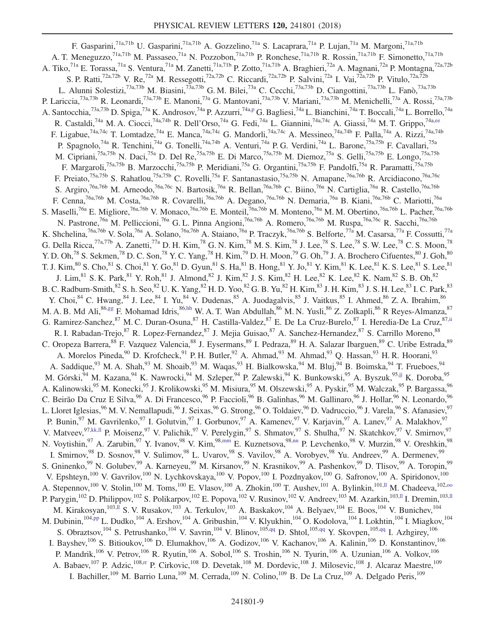<span id="page-8-9"></span><span id="page-8-8"></span><span id="page-8-7"></span><span id="page-8-6"></span><span id="page-8-5"></span><span id="page-8-4"></span><span id="page-8-3"></span><span id="page-8-2"></span><span id="page-8-1"></span><span id="page-8-0"></span>F. Gasparini,<sup>71a,71b</sup> U. Gasparini,<sup>71a,71b</sup> A. Gozzelino,<sup>71a</sup> S. Lacaprara,<sup>71a</sup> P. Lujan,<sup>71a</sup> M. Margoni,<sup>71a,71b</sup> A. T. Meneguzzo,<sup>71a,71b</sup> M. Passaseo,<sup>71a</sup> N. Pozzobon,<sup>71a,71b</sup> P. Ronchese,<sup>71a,71b</sup> R. Rossin,<sup>71a,71b</sup> F. Simonetto,<sup>71a,71b</sup> A. Tiko,<sup>71a</sup> E. Torassa,<sup>71a</sup> S. Ventura,<sup>71a</sup> M. Zanetti,<sup>71a,71b</sup> P. Zotto,<sup>71a,71b</sup> A. Braghieri,<sup>72a</sup> A. Magnani,<sup>72a</sup> P. Montagna,<sup>72a,72b</sup> S. P. Ratti,<sup>72a,72b</sup> V. Re,<sup>72a</sup> M. Ressegotti,<sup>72a,72b</sup> C. Riccardi,<sup>72a,72b</sup> P. Salvini,<sup>72a</sup> I. Vai,<sup>72a,72b</sup> P. Vitulo,<sup>72a,72b</sup> L. Alunni Solestizi,<sup>73a,73b</sup> M. Biasini,<sup>73a,73b</sup> G. M. Bilei,<sup>73a</sup> C. Cecchi,<sup>73a,73b</sup> D. Ciangottini,<sup>73a,73b</sup> L. Fanò,<sup>73a,73b</sup> P. Lariccia,<sup>73a,73b</sup> R. Leonardi,<sup>73a,73b</sup> E. Manoni,<sup>73a</sup> G. Mantovani,<sup>73a,73b</sup> V. Mariani,<sup>73a,73b</sup> M. Menichelli,<sup>73a</sup> A. Rossi,<sup>73a,73b</sup> A. Santocchia,<sup>73a,73b</sup> D. Spiga,<sup>73a</sup> K. Androsov,<sup>74a</sup> P. Azzurri,<sup>74a[,p](#page-15-14)</sup> G. Bagliesi,<sup>74a</sup> L. Bianchini,<sup>74a</sup> T. Boccali,<sup>74a</sup> L. Borrello,<sup>74a</sup> R. Castaldi,<sup>74a</sup> M. A. Ciocci,<sup>74a,74b</sup> R. Dell'Orso,<sup>74a</sup> G. Fedi,<sup>74a</sup> L. Giannini,<sup>74a,74c</sup> A. Giassi,<sup>74a</sup> M. T. Grippo,<sup>74a[,ee](#page-15-29)</sup> F. Ligabue,<sup>74a,74c</sup> T. Lomtadze,<sup>74a</sup> E. Manca,<sup>74a,74c</sup> G. Mandorli,<sup>74a,74c</sup> A. Messineo,<sup>74a,74b</sup> F. Palla,<sup>74a</sup> A. Rizzi,<sup>74a,74b</sup> P. Spagnolo,<sup>74a</sup> R. Tenchini,<sup>74a</sup> G. Tonelli,<sup>74a,74b</sup> A. Venturi,<sup>74a</sup> P. G. Verdini,<sup>74a</sup> L. Barone,<sup>75a,75b</sup> F. Cavallari,<sup>75a</sup> M. Cipriani,<sup>75a,75b</sup> N. Daci,<sup>75a</sup> D. Del Re,<sup>75a,75b</sup> E. Di Marco,<sup>75a,75b</sup> M. Diemoz,<sup>75a</sup> S. Gelli,<sup>75a,75b</sup> E. Longo,<sup>75a,75b</sup> F. Margaroli,<sup>75a,75b</sup> B. Marzocchi,<sup>75a,75b</sup> P. Meridiani,<sup>75a</sup> G. Organtini,<sup>75a,75b</sup> F. Pandolfi,<sup>75a</sup> R. Paramatti,<sup>75a,75b</sup> F. Preiato,<sup>75a,75b</sup> S. Rahatlou,<sup>75a,75b</sup> C. Rovelli,<sup>75a</sup> F. Santanastasio,<sup>75a,75b</sup> N. Amapane,<sup>76a,76b</sup> R. Arcidiacono,<sup>76a,76c</sup> S. Argiro,<sup>76a,76b</sup> M. Arneodo,<sup>76a,76c</sup> N. Bartosik,<sup>76a</sup> R. Bellan,<sup>76a,76b</sup> C. Biino,<sup>76a</sup> N. Cartiglia,<sup>76a</sup> R. Castello,<sup>76a,76b</sup> F. Cenna,<sup>76a,76b</sup> M. Costa,<sup>76a,76b</sup> R. Covarelli,<sup>76a,76b</sup> A. Degano,<sup>76a,76b</sup> N. Demaria,<sup>76a</sup> B. Kiani,<sup>76a,76b</sup> C. Mariotti,<sup>76a</sup> S. Maselli,<sup>76a</sup> E. Migliore,<sup>76a,76b</sup> V. Monaco,<sup>76a,76b</sup> E. Monteil,<sup>76a,76b</sup> M. Monteno,<sup>76a</sup> M. M. Obertino,<sup>76a,76b</sup> L. Pacher,<sup>76a,76b</sup> N. Pastrone,<sup>76a</sup> M. Pelliccioni,<sup>76a</sup> G. L. Pinna Angioni,<sup>76a,76b</sup> A. Romero,<sup>76a,76b</sup> M. Ruspa,<sup>76a,76c</sup> R. Sacchi,<sup>76a,76b</sup> K. Shchelina,<sup>76a,76b</sup> V. Sola,<sup>76a</sup> A. Solano,<sup>76a,76b</sup> A. Staiano,<sup>76a</sup> P. Traczyk,<sup>76a,76b</sup> S. Belforte,<sup>77a</sup> M. Casarsa,<sup>77a</sup> F. Cossutti,<sup>77a</sup> G. Della Ricca,<sup>77a,77b</sup> A. Zanetti,<sup>77a</sup> D. H. Kim,<sup>78</sup> G. N. Kim,<sup>78</sup> M. S. Kim,<sup>78</sup> J. Lee,<sup>78</sup> S. Lee,<sup>78</sup> S. W. Lee,<sup>78</sup> C. S. Moon,<sup>78</sup> Y. D. Oh,<sup>78</sup> S. Sekmen,<sup>78</sup> D. C. Son,<sup>78</sup> Y. C. Yang,<sup>78</sup> H. Kim,<sup>79</sup> D. H. Moon,<sup>79</sup> G. Oh,<sup>79</sup> J. A. Brochero Cifuentes,<sup>80</sup> J. Goh,<sup>80</sup> T. J. Kim, $^{80}$  S. Cho, $^{81}$  S. Choi, $^{81}$  Y. Go, $^{81}$  D. Gyun, $^{81}$  S. Ha, $^{81}$  B. Hong, $^{81}$  Y. Jo, $^{81}$  Y. Kim, $^{81}$  K. Lee, $^{81}$  K. S. Lee, $^{81}$  S. Lee, $^{81}$ J. Lim,  $81$  S. K. Park,  $81$  Y. Roh,  $81$  J. Almond,  $82$  J. Kim,  $82$  J. S. Kim,  $82$  H. Lee,  $82$  K. Lee,  $82$  K. Nam,  $82$  S. B. Oh,  $82$ B. C. Radburn-Smith,  $82$  S. h. Seo,  $82$  U. K. Yang,  $82$  H. D. Yoo,  $82$  G. B. Yu,  $82$  H. Kim,  $83$  J. H. Kim,  $83$  J. S. H. Lee,  $83$  I. C. Park,  $83$ Y. Choi,  $84$  C. Hwang,  $84$  J. Lee,  $84$  I. Yu,  $84$  V. Dudenas,  $85$  A. Juodagalvis,  $85$  J. Vaitkus,  $85$  I. Ahmed,  $86$  Z. A. Ibrahim,  $86$ M. A. B. Md Ali, <sup>86[,gg](#page-15-31)</sup> F. Mohamad Idris, <sup>86[,hh](#page-15-32)</sup> W. A. T. Wan Abdullah, <sup>86</sup> M. N. Yusli, <sup>86</sup> Z. Zolkapli, <sup>86</sup> R Reyes-Almanza, <sup>87</sup> G. Ramirez-Sanchez, <sup>87</sup> M. C. Duran-Osuna, <sup>87</sup> H. Castilla-Valdez, <sup>87</sup> E. De La Cruz-Burelo, <sup>87</sup> I. Heredia-De La Cruz, <sup>8[7,ii](#page-15-33)</sup> R. I. Rabadan-Trejo, <sup>87</sup> R. Lopez-Fernandez, <sup>87</sup> J. Mejia Guisao, <sup>87</sup> A. Sanchez-Hernandez, <sup>87</sup> S. Carrillo Moreno, <sup>88</sup> C. Oropeza Barrera, <sup>88</sup> F. Vazquez Valencia, <sup>88</sup> J. Eysermans, <sup>89</sup> I. Pedraza, <sup>89</sup> H. A. Salazar Ibarguen, <sup>89</sup> C. Uribe Estrada, <sup>89</sup> A. Morelos Pineda,<sup>90</sup> D. Krofcheck,<sup>91</sup> P. H. Butler,<sup>92</sup> A. Ahmad,<sup>93</sup> M. Ahmad,<sup>93</sup> Q. Hassan,<sup>93</sup> H. R. Hoorani,<sup>93</sup> A. Saddique,<sup>93</sup> M. A. Shah,<sup>93</sup> M. Shoaib,<sup>93</sup> M. Waqas,<sup>93</sup> H. Bialkowska,<sup>94</sup> M. Bluj,<sup>94</sup> B. Boimska,<sup>94</sup> T. Frueboes,<sup>94</sup> M. Górski, $^{94}$  M. Kazana, $^{94}$  K. Nawrocki, $^{94}$  M. Szleper, $^{94}$  P. Zalewski, $^{94}$  K. Bunkowski, $^{95}$  A. Byszuk, $^{95, jj}$  K. Doroba, $^{95}$ A. Kalinowski,<sup>95</sup> M. Konecki,<sup>95</sup> J. Krolikowski,<sup>95</sup> M. Misiura,<sup>95</sup> M. Olszewski,<sup>95</sup> A. Pyskir,<sup>95</sup> M. Walczak,<sup>95</sup> P. Bargassa,<sup>96</sup> C. Beirão Da Cruz E Silva, <sup>96</sup> A. Di Francesco, <sup>96</sup> P. Faccioli, <sup>96</sup> B. Galinhas, <sup>96</sup> M. Gallinaro, <sup>96</sup> J. Hollar, <sup>96</sup> N. Leonardo, <sup>96</sup> L. Lloret Iglesias,<sup>96</sup> M. V. Nemallapudi,<sup>96</sup> J. Seixas,<sup>96</sup> G. Strong,<sup>96</sup> O. Toldaiev,<sup>96</sup> D. Vadruccio,<sup>96</sup> J. Varela,<sup>96</sup> S. Afanasiev,<sup>97</sup> P. Bunin, <sup>97</sup> M. Gavrilenko, <sup>97</sup> I. Golutvin, <sup>97</sup> I. Gorbunov, <sup>97</sup> A. Kamenev, <sup>97</sup> V. Karjavin, <sup>97</sup> A. Lanev, <sup>97</sup> A. Malakhov, <sup>97</sup> V. Matveev, <sup>9[7,kk,ll](#page-15-35)</sup> P. Moisenz, <sup>97</sup> V. Palichik, <sup>97</sup> V. Perelygin, <sup>97</sup> S. Shmatov, <sup>97</sup> S. Shulha, <sup>97</sup> N. Skatchkov, <sup>97</sup> V. Smirnov, <sup>97</sup> N. Voytishin, <sup>97</sup> A. Zarubin, <sup>97</sup> Y. Ivanov, <sup>98</sup> V. Kim, <sup>9[8,mm](#page-16-0)</sup> E. Kuznetsova, <sup>98[,nn](#page-16-1)</sup> P. Levchenko, <sup>98</sup> V. Murzin, <sup>98</sup> V. Oreshkin, <sup>98</sup> I. Smirnov,<sup>98</sup> D. Sosnov,<sup>98</sup> V. Sulimov,<sup>98</sup> L. Uvarov,<sup>98</sup> S. Vavilov,<sup>98</sup> A. Vorobyev,<sup>98</sup> Yu. Andreev,<sup>99</sup> A. Dermenev,<sup>99</sup> S. Gninenko,<sup>99</sup> N. Golubev,<sup>99</sup> A. Karneyeu,<sup>99</sup> M. Kirsanov,<sup>99</sup> N. Krasnikov,<sup>99</sup> A. Pashenkov,<sup>99</sup> D. Tlisov,<sup>99</sup> A. Toropin,<sup>99</sup> V. Epshteyn,<sup>100</sup> V. Gavrilov,<sup>100</sup> N. Lychkovskaya,<sup>100</sup> V. Popov,<sup>100</sup> I. Pozdnyakov,<sup>100</sup> G. Safronov,<sup>100</sup> A. Spiridonov,<sup>100</sup> A. Stepennov,<sup>100</sup> V. Stolin,<sup>100</sup> M. Toms,<sup>100</sup> E. Vlasov,<sup>100</sup> A. Zhokin,<sup>100</sup> T. Aushev,<sup>101</sup> A. Bylinkin,<sup>101,11</sup> M. Chadeeva,<sup>102,00</sup> P. Parygin,<sup>102</sup> D. Philippov,<sup>102</sup> S. Polikarpov,<sup>102</sup> E. Popova,<sup>102</sup> V. Rusinov,<sup>102</sup> V. Andreev,<sup>103</sup> M. Azarkin,<sup>103[,ll](#page-16-2)</sup> I. Dremin,<sup>10[3,ll](#page-16-2)</sup> M. Kirakosyan,<sup>103,11</sup> S. V. Rusakov,<sup>103</sup> A. Terkulov,<sup>103</sup> A. Baskakov,<sup>104</sup> A. Belyaev,<sup>104</sup> E. Boos,<sup>104</sup> V. Bunichev,<sup>104</sup> M. Dubinin,<sup>104[,pp](#page-16-4)</sup> L. Dudko,<sup>104</sup> A. Ershov,<sup>104</sup> A. Gribushin,<sup>104</sup> V. Klyukhin,<sup>104</sup> O. Kodolova,<sup>104</sup> I. Lokhtin,<sup>104</sup> I. Miagkov,<sup>104</sup> S. Obraztsov,<sup>104</sup> S. Petrushanko,<sup>104</sup> V. Savrin,<sup>104</sup> V. Blinov,<sup>105[,qq](#page-16-5)</sup> D. Shtol,<sup>10[5,qq](#page-16-5)</sup> Y. Skovpen,<sup>105,qq</sup> I. Azhgirey,<sup>106</sup> I. Bayshev,<sup>106</sup> S. Bitioukov,<sup>106</sup> D. Elumakhov,<sup>106</sup> A. Godizov,<sup>106</sup> V. Kachanov,<sup>106</sup> A. Kalinin,<sup>106</sup> D. Konstantinov,<sup>106</sup> P. Mandrik,<sup>106</sup> V. Petrov,<sup>106</sup> R. Ryutin,<sup>106</sup> A. Sobol,<sup>106</sup> S. Troshin,<sup>106</sup> N. Tyurin,<sup>106</sup> A. Uzunian,<sup>106</sup> A. Volkov,<sup>106</sup> A. Babaev,<sup>107</sup> P. Adzic,<sup>10[8,rr](#page-16-6)</sup> P. Cirkovic,<sup>108</sup> D. Devetak,<sup>108</sup> M. Dordevic,<sup>108</sup> J. Milosevic,<sup>108</sup> J. Alcaraz Maestre,<sup>109</sup> I. Bachiller,<sup>109</sup> M. Barrio Luna,<sup>109</sup> M. Cerrada,<sup>109</sup> N. Colino,<sup>109</sup> B. De La Cruz,<sup>109</sup> A. Delgado Peris,<sup>109</sup>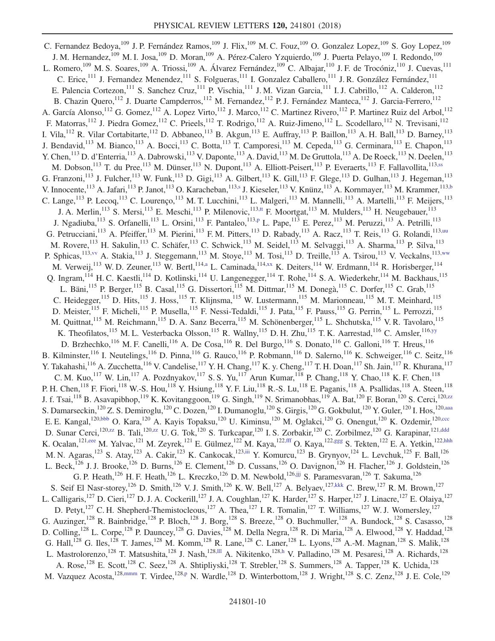<span id="page-9-14"></span><span id="page-9-13"></span><span id="page-9-12"></span><span id="page-9-11"></span><span id="page-9-10"></span><span id="page-9-9"></span><span id="page-9-8"></span><span id="page-9-7"></span><span id="page-9-6"></span><span id="page-9-5"></span><span id="page-9-4"></span><span id="page-9-3"></span><span id="page-9-2"></span><span id="page-9-1"></span><span id="page-9-0"></span>C. Fernandez Bedoya,  $^{109}$  J. P. Fernández Ramos,  $^{109}$  J. Flix,  $^{109}$  M. C. Fouz,  $^{109}$  O. Gonzalez Lopez,  $^{109}$  S. Goy Lopez,  $^{109}$ J. M. Hernandez, <sup>109</sup> M. I. Josa, <sup>109</sup> D. Moran, <sup>109</sup> A. Pérez-Calero Yzquierdo, <sup>109</sup> J. Puerta Pelayo, <sup>109</sup> I. Redondo, <sup>109</sup> L. Romero,<sup>109</sup> M. S. Soares,<sup>109</sup> A. Triossi,<sup>109</sup> A. Álvarez Fernández,<sup>109</sup> C. Albajar,<sup>110</sup> J. F. de Trocóniz,<sup>110</sup> J. Cuevas,<sup>111</sup> C. Erice,<sup>111</sup> J. Fernandez Menendez,<sup>111</sup> S. Folgueras,<sup>111</sup> I. Gonzalez Caballero,<sup>111</sup> J. R. González Fernández,<sup>111</sup> E. Palencia Cortezon,<sup>111</sup> S. Sanchez Cruz,<sup>111</sup> P. Vischia,<sup>111</sup> J.M. Vizan Garcia,<sup>111</sup> I.J. Cabrillo,<sup>112</sup> A. Calderon,<sup>112</sup> B. Chazin Quero,<sup>112</sup> J. Duarte Campderros,<sup>112</sup> M. Fernandez,<sup>112</sup> P. J. Fernández Manteca,<sup>112</sup> J. Garcia-Ferrero,<sup>112</sup> A. García Alonso,<sup>112</sup> G. Gomez,<sup>112</sup> A. Lopez Virto,<sup>112</sup> J. Marco,<sup>112</sup> C. Martinez Rivero,<sup>112</sup> P. Martinez Ruiz del Arbol,<sup>112</sup> F. Matorras,<sup>112</sup> J. Piedra Gomez,<sup>112</sup> C. Prieels,<sup>112</sup> T. Rodrigo,<sup>112</sup> A. Ruiz-Jimeno,<sup>112</sup> L. Scodellaro,<sup>112</sup> N. Trevisani,<sup>112</sup> I. Vila, <sup>112</sup> R. Vilar Cortabitarte, <sup>112</sup> D. Abbaneo, <sup>113</sup> B. Akgun, <sup>113</sup> E. Auffray, <sup>113</sup> P. Baillon, <sup>113</sup> A. H. Ball, <sup>113</sup> D. Barney, <sup>113</sup> J. Bendavid,<sup>113</sup> M. Bianco,<sup>113</sup> A. Bocci,<sup>113</sup> C. Botta,<sup>113</sup> T. Camporesi,<sup>113</sup> M. Cepeda,<sup>113</sup> G. Cerminara,<sup>113</sup> E. Chapon,<sup>113</sup> Y. Chen,<sup>113</sup> D. d'Enterria,<sup>113</sup> A. Dabrowski,<sup>113</sup> V. Daponte,<sup>113</sup> A. David,<sup>113</sup> M. De Gruttola,<sup>113</sup> A. De Roeck,<sup>113</sup> N. Deelen,<sup>113</sup> M. Dobson,<sup>113</sup> T. du Pree,<sup>113</sup> M. Dünser,<sup>113</sup> N. Dupont,<sup>113</sup> A. Elliott-Peisert,<sup>113</sup> P. Everaerts,<sup>113</sup> F. Fallavollita,<sup>113[,ss](#page-16-7)</sup> G. Franzoni,<sup>113</sup> J. Fulcher,<sup>113</sup> W. Funk,<sup>113</sup> D. Gigi,<sup>113</sup> A. Gilbert,<sup>113</sup> K. Gill,<sup>113</sup> F. Glege,<sup>113</sup> D. Gulhan,<sup>113</sup> J. Hegeman,<sup>113</sup> V. Innocente,  $^{113}$  A. Jafari,  $^{113}$  P. Janot,  $^{113}$  O. Karacheban,  $^{113,s}$  $^{113,s}$  $^{113,s}$  J. Kieseler,  $^{113}$  V. Knünz,  $^{113}$  A. Kornmayer,  $^{113}$  M. Krammer,  $^{113,b}$  $^{113,b}$  $^{113,b}$ C. Lange,<sup>113</sup> P. Lecoq,<sup>113</sup> C. Lourenço,<sup>113</sup> M. T. Lucchini,<sup>113</sup> L. Malgeri,<sup>113</sup> M. Mannelli,<sup>113</sup> A. Martelli,<sup>113</sup> F. Meijers,<sup>113</sup> J. A. Merlin,<sup>113</sup> S. Mersi,<sup>113</sup> E. Meschi,<sup>113</sup> P. Milenovic,<sup>113[,tt](#page-16-8)</sup> F. Moortgat,<sup>113</sup> M. Mulders,<sup>113</sup> H. Neugebauer,<sup>113</sup> J. Ngadiuba,<sup>113</sup> S. Orfanelli,<sup>113</sup> L. Orsini,<sup>113</sup> F. Pantaleo,<sup>113[,p](#page-15-14)</sup> L. Pape,<sup>113</sup> E. Perez,<sup>113</sup> M. Peruzzi,<sup>113</sup> A. Petrilli,<sup>113</sup> G. Petrucciani,<sup>113</sup> A. Pfeiffer,<sup>113</sup> M. Pierini,<sup>113</sup> F. M. Pitters,<sup>113</sup> D. Rabady,<sup>113</sup> A. Racz,<sup>113</sup> T. Reis,<sup>113</sup> G. Rolandi,<sup>113[,uu](#page-16-9)</sup> M. Rovere,<sup>113</sup> H. Sakulin,<sup>113</sup> C. Schäfer,<sup>113</sup> C. Schwick,<sup>113</sup> M. Seidel,<sup>113</sup> M. Selvaggi,<sup>113</sup> A. Sharma,<sup>113</sup> P. Silva,<sup>113</sup> P. Sphicas,<sup>113[,vv](#page-16-10)</sup> A. Stakia,<sup>113</sup> J. Steggemann,<sup>113</sup> M. Stoye,<sup>113</sup> M. Tosi,<sup>113</sup> D. Treille,<sup>113</sup> A. Tsirou,<sup>113</sup> V. Veckalns,<sup>113</sup>, www. M. Verweij,<sup>113</sup> W. D. Zeuner,<sup>113</sup> W. Bertl,<sup>114[,a](#page-15-36)</sup> L. Caminada,<sup>11[4,xx](#page-16-12)</sup> K. Deiters,<sup>114</sup> W. Erdmann,<sup>114</sup> R. Horisberger,<sup>114</sup> Q. Ingram,<sup>114</sup> H. C. Kaestli,<sup>114</sup> D. Kotlinski,<sup>114</sup> U. Langenegger,<sup>114</sup> T. Rohe,<sup>114</sup> S. A. Wiederkehr,<sup>114</sup> M. Backhaus,<sup>115</sup> L. Bäni,<sup>115</sup> P. Berger,<sup>115</sup> B. Casal,<sup>115</sup> G. Dissertori,<sup>115</sup> M. Dittmar,<sup>115</sup> M. Donegà,<sup>115</sup> C. Dorfer,<sup>115</sup> C. Grab,<sup>115</sup> C. Heidegger,<sup>115</sup> D. Hits,<sup>115</sup> J. Hoss,<sup>115</sup> T. Klijnsma,<sup>115</sup> W. Lustermann,<sup>115</sup> M. Marionneau,<sup>115</sup> M. T. Meinhard,<sup>115</sup> D. Meister,<sup>115</sup> F. Micheli,<sup>115</sup> P. Musella,<sup>115</sup> F. Nessi-Tedaldi,<sup>115</sup> J. Pata,<sup>115</sup> F. Pauss,<sup>115</sup> G. Perrin,<sup>115</sup> L. Perrozzi,<sup>115</sup> M. Quittnat,<sup>115</sup> M. Reichmann,<sup>115</sup> D. A. Sanz Becerra,<sup>115</sup> M. Schönenberger,<sup>115</sup> L. Shchutska,<sup>115</sup> V. R. Tavolaro,<sup>115</sup> K. Theofilatos,<sup>115</sup> M. L. Vesterbacka Olsson,<sup>115</sup> R. Wallny,<sup>115</sup> D. H. Zhu,<sup>115</sup> T. K. Aarrestad,<sup>116</sup> C. Amsler,<sup>11[6,yy](#page-16-13)</sup> D. Brzhechko,<sup>116</sup> M. F. Canelli,<sup>116</sup> A. De Cosa,<sup>116</sup> R. Del Burgo,<sup>116</sup> S. Donato,<sup>116</sup> C. Galloni,<sup>116</sup> T. Hreus,<sup>116</sup> B. Kilminster, <sup>116</sup> I. Neutelings, <sup>116</sup> D. Pinna, <sup>116</sup> G. Rauco, <sup>116</sup> P. Robmann, <sup>116</sup> D. Salerno, <sup>116</sup> K. Schweiger, <sup>116</sup> C. Seitz, <sup>116</sup> Y. Takahashi,<sup>116</sup> A. Zucchetta,<sup>116</sup> V. Candelise,<sup>117</sup> Y. H. Chang,<sup>117</sup> K. y. Cheng,<sup>117</sup> T. H. Doan,<sup>117</sup> Sh. Jain,<sup>117</sup> R. Khurana,<sup>117</sup> C. M. Kuo,<sup>117</sup> W. Lin,<sup>117</sup> A. Pozdnyakov,<sup>117</sup> S. S. Yu,<sup>117</sup> Arun Kumar,<sup>118</sup> P. Chang,<sup>118</sup> Y. Chao,<sup>118</sup> K. F. Chen,<sup>118</sup> P. H. Chen, <sup>118</sup> F. Fiori, <sup>118</sup> W.-S. Hou, <sup>118</sup> Y. Hsiung, <sup>118</sup> Y. F. Liu, <sup>118</sup> R.-S. Lu, <sup>118</sup> E. Paganis, <sup>118</sup> A. Psallidas, <sup>118</sup> A. Steen, <sup>118</sup> J. f. Tsai,<sup>118</sup> B. Asavapibhop,<sup>119</sup> K. Kovitanggoon,<sup>119</sup> G. Singh,<sup>119</sup> N. Srimanobhas,<sup>119</sup> A. Bat,<sup>120</sup> F. Boran,<sup>120</sup> S. Cerci,<sup>12[0,zz](#page-16-14)</sup> S. Damarseckin,  $^{120}$  Z. S. Demiroglu,  $^{120}$  C. Dozen,  $^{120}$  I. Dumanoglu,  $^{120}$  S. Girgis,  $^{120}$  G. Gokbulut,  $^{120}$  Y. Guler,  $^{120}$  I. Hos,  $^{120, aaa}$ E. E. Kangal,<sup>120[,bbb](#page-16-16)</sup> O. Kara,<sup>120</sup> A. Kayis Topaksu,<sup>120</sup> U. Kiminsu,<sup>120</sup> M. Oglakci,<sup>120</sup> G. Onengut,<sup>120</sup> K. Ozdemir,<sup>12[0,ccc](#page-16-17)</sup> D. Sunar Cerci,<sup>120[,zz](#page-16-14)</sup> B. Tali,<sup>120,zz</sup> U. G. Tok,<sup>120</sup> S. Turkcapar,<sup>120</sup> I. S. Zorbakir,<sup>120</sup> C. Zorbilmez,<sup>120</sup> G. Karapinar,<sup>12[1,ddd](#page-16-18)</sup> K. Ocalan,<sup>121[,eee](#page-16-19)</sup> M. Yalvac,<sup>121</sup> M. Zeyrek,<sup>121</sup> E. Gülmez,<sup>122</sup> M. Kaya,<sup>12[2,fff](#page-16-20)</sup> O. Kaya,<sup>122[,ggg](#page-16-21)</sup> S. Tekten,<sup>122</sup> E. A. Yetkin,<sup>122[,hhh](#page-16-22)</sup> M. N. Agaras,<sup>123</sup> S. Atay,<sup>123</sup> A. Cakir,<sup>123</sup> K. Cankocak,<sup>123[,iii](#page-16-23)</sup> Y. Komurcu,<sup>123</sup> B. Grynyov,<sup>124</sup> L. Levchuk,<sup>125</sup> F. Ball,<sup>126</sup> L. Beck,<sup>126</sup> J. J. Brooke,<sup>126</sup> D. Burns,<sup>126</sup> E. Clement,<sup>126</sup> D. Cussans,<sup>126</sup> O. Davignon,<sup>126</sup> H. Flacher,<sup>126</sup> J. Goldstein,<sup>126</sup> G. P. Heath,<sup>126</sup> H. F. Heath,<sup>126</sup> L. Kreczko,<sup>126</sup> D. M. Newbold,<sup>126[,jjj](#page-16-24)</sup> S. Paramesvaran,<sup>126</sup> T. Sakuma,<sup>126</sup> S. Seif El Nasr-storey,<sup>126</sup> D. Smith,<sup>126</sup> V. J. Smith,<sup>126</sup> K. W. Bell,<sup>127</sup> A. Belyaev,<sup>127[,kkk](#page-16-25)</sup> C. Brew,<sup>127</sup> R. M. Brown,<sup>127</sup> L. Calligaris,<sup>127</sup> D. Cieri,<sup>127</sup> D. J. A. Cockerill,<sup>127</sup> J. A. Coughlan,<sup>127</sup> K. Harder,<sup>127</sup> S. Harper,<sup>127</sup> J. Linacre,<sup>127</sup> E. Olaiya,<sup>127</sup> D. Petyt,<sup>127</sup> C. H. Shepherd-Themistocleous,<sup>127</sup> A. Thea,<sup>127</sup> I. R. Tomalin,<sup>127</sup> T. Williams,<sup>127</sup> W. J. Womersley,<sup>127</sup> G. Auzinger,<sup>128</sup> R. Bainbridge,<sup>128</sup> P. Bloch,<sup>128</sup> J. Borg,<sup>128</sup> S. Breeze,<sup>128</sup> O. Buchmuller,<sup>128</sup> A. Bundock,<sup>128</sup> S. Casasso,<sup>128</sup> D. Colling,<sup>128</sup> L. Corpe,<sup>128</sup> P. Dauncey,<sup>128</sup> G. Davies,<sup>128</sup> M. Della Negra,<sup>128</sup> R. Di Maria,<sup>128</sup> A. Elwood,<sup>128</sup> Y. Haddad,<sup>128</sup> G. Hall,<sup>128</sup> G. Iles,<sup>128</sup> T. James,<sup>128</sup> M. Komm,<sup>128</sup> R. Lane,<sup>128</sup> C. Laner,<sup>128</sup> L. Lyons,<sup>128</sup> A.-M. Magnan,<sup>128</sup> S. Malik,<sup>128</sup> L. Mastrolorenzo,<sup>128</sup> T. Matsushita,<sup>128</sup> J. Nash,<sup>128,111</sup> A. Nikitenko,<sup>128[,h](#page-15-6)</sup> V. Palladino,<sup>128</sup> M. Pesaresi,<sup>128</sup> A. Richards,<sup>128</sup> A. Rose,<sup>128</sup> E. Scott,<sup>128</sup> C. Seez,<sup>128</sup> A. Shtipliyski,<sup>128</sup> T. Strebler,<sup>128</sup> S. Summers,<sup>128</sup> A. Tapper,<sup>128</sup> K. Uchida,<sup>128</sup> M. Vazquez Acosta,<sup>128[,mmm](#page-16-27)</sup> T. Virdee,<sup>12[8,p](#page-15-14)</sup> N. Wardle,<sup>128</sup> D. Winterbottom,<sup>128</sup> J. Wright,<sup>128</sup> S. C. Zenz,<sup>128</sup> J. E. Cole,<sup>129</sup>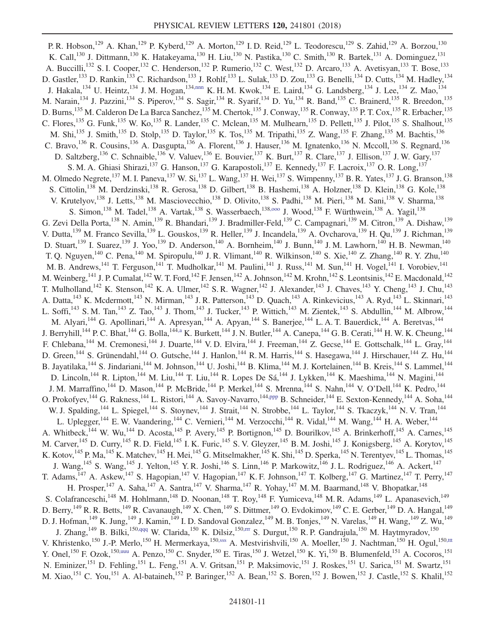<span id="page-10-5"></span><span id="page-10-4"></span><span id="page-10-3"></span><span id="page-10-2"></span><span id="page-10-1"></span><span id="page-10-0"></span>P. R. Hobson,<sup>129</sup> A. Khan,<sup>129</sup> P. Kyberd,<sup>129</sup> A. Morton,<sup>129</sup> I.D. Reid,<sup>129</sup> L. Teodorescu,<sup>129</sup> S. Zahid,<sup>129</sup> A. Borzou,<sup>130</sup> K. Call,<sup>130</sup> J. Dittmann,<sup>130</sup> K. Hatakeyama,<sup>130</sup> H. Liu,<sup>130</sup> N. Pastika,<sup>130</sup> C. Smith,<sup>130</sup> R. Bartek,<sup>131</sup> A. Dominguez,<sup>131</sup> A. Buccilli,<sup>132</sup> S. I. Cooper,<sup>132</sup> C. Henderson,<sup>132</sup> P. Rumerio,<sup>132</sup> C. West,<sup>132</sup> D. Arcaro,<sup>133</sup> A. Avetisyan,<sup>133</sup> T. Bose,<sup>133</sup> D. Gastler,<sup>133</sup> D. Rankin,<sup>133</sup> C. Richardson,<sup>133</sup> J. Rohlf,<sup>133</sup> L. Sulak,<sup>133</sup> D. Zou,<sup>133</sup> G. Benelli,<sup>134</sup> D. Cutts,<sup>134</sup> M. Hadley,<sup>134</sup> J. Hakala,<sup>134</sup> U. Heintz,<sup>134</sup> J. M. Hogan,<sup>134[,nnn](#page-16-28)</sup> K. H. M. Kwok,<sup>134</sup> E. Laird,<sup>134</sup> G. Landsberg,<sup>134</sup> J. Lee,<sup>134</sup> Z. Mao,<sup>134</sup> M. Narain,<sup>134</sup> J. Pazzini,<sup>134</sup> S. Piperov,<sup>134</sup> S. Sagir,<sup>134</sup> R. Syarif,<sup>134</sup> D. Yu,<sup>134</sup> R. Band,<sup>135</sup> C. Brainerd,<sup>135</sup> R. Breedon,<sup>135</sup> D. Burns,<sup>135</sup> M. Calderon De La Barca Sanchez,<sup>135</sup> M. Chertok,<sup>135</sup> J. Conway,<sup>135</sup> R. Conway,<sup>135</sup> P. T. Cox,<sup>135</sup> R. Erbacher,<sup>135</sup> C. Flores,<sup>135</sup> G. Funk,<sup>135</sup> W. Ko,<sup>135</sup> R. Lander,<sup>135</sup> C. Mclean,<sup>135</sup> M. Mulhearn,<sup>135</sup> D. Pellett,<sup>135</sup> J. Pilot,<sup>135</sup> S. Shalhout,<sup>135</sup> M. Shi,<sup>135</sup> J. Smith,<sup>135</sup> D. Stolp,<sup>135</sup> D. Taylor,<sup>135</sup> K. Tos,<sup>135</sup> M. Tripathi,<sup>135</sup> Z. Wang,<sup>135</sup> F. Zhang,<sup>135</sup> M. Bachtis,<sup>136</sup> C. Bravo,  $^{136}$  R. Cousins,  $^{136}$  A. Dasgupta,  $^{136}$  A. Florent,  $^{136}$  J. Hauser,  $^{136}$  M. Ignatenko,  $^{136}$  N. Mccoll,  $^{136}$  S. Regnard,  $^{136}$ D. Saltzberg,<sup>136</sup> C. Schnaible,<sup>136</sup> V. Valuev,<sup>136</sup> E. Bouvier,<sup>137</sup> K. Burt,<sup>137</sup> R. Clare,<sup>137</sup> J. Ellison,<sup>137</sup> J. W. Gary,<sup>137</sup> S. M. A. Ghiasi Shirazi,<sup>137</sup> G. Hanson,<sup>137</sup> G. Karapostoli,<sup>137</sup> E. Kennedy,<sup>137</sup> F. Lacroix,<sup>137</sup> O. R. Long,<sup>137</sup> M. Olmedo Negrete,<sup>137</sup> M. I. Paneva,<sup>137</sup> W. Si,<sup>137</sup> L. Wang,<sup>137</sup> H. Wei,<sup>137</sup> S. Wimpenny,<sup>137</sup> B. R. Yates,<sup>137</sup> J. G. Branson,<sup>138</sup> S. Cittolin,<sup>138</sup> M. Derdzinski,<sup>138</sup> R. Gerosa,<sup>138</sup> D. Gilbert,<sup>138</sup> B. Hashemi,<sup>138</sup> A. Holzner,<sup>138</sup> D. Klein,<sup>138</sup> G. Kole,<sup>138</sup> V. Krutelyov,<sup>138</sup> J. Letts,<sup>138</sup> M. Masciovecchio,<sup>138</sup> D. Olivito,<sup>138</sup> S. Padhi,<sup>138</sup> M. Pieri,<sup>138</sup> M. Sani,<sup>138</sup> V. Sharma,<sup>138</sup> S. Simon,<sup>138</sup> M. Tadel,<sup>138</sup> A. Vartak,<sup>138</sup> S. Wasserbaech,<sup>138,000</sup> J. Wood,<sup>138</sup> F. Würthwein,<sup>138</sup> A. Yagil,<sup>138</sup> G. Zevi Della Porta,<sup>138</sup> N. Amin,<sup>139</sup> R. Bhandari,<sup>139</sup> J. Bradmiller-Feld,<sup>139</sup> C. Campagnari,<sup>139</sup> M. Citron,<sup>139</sup> A. Dishaw,<sup>139</sup> V. Dutta,  $^{139}$  M. Franco Sevilla,  $^{139}$  L. Gouskos,  $^{139}$  R. Heller,  $^{139}$  J. Incandela,  $^{139}$  A. Ovcharova,  $^{139}$  H. Qu,  $^{139}$  J. Richman,  $^{139}$ D. Stuart,  $^{139}$  I. Suarez,  $^{139}$  J. Yoo,  $^{139}$  D. Anderson,  $^{140}$  A. Bornheim,  $^{140}$  J. Bunn,  $^{140}$  J. M. Lawhorn,  $^{140}$  H. B. Newman,  $^{140}$ T. Q. Nguyen,<sup>140</sup> C. Pena,<sup>140</sup> M. Spiropulu,<sup>140</sup> J. R. Vlimant,<sup>140</sup> R. Wilkinson,<sup>140</sup> S. Xie,<sup>140</sup> Z. Zhang,<sup>140</sup> R. Y. Zhu,<sup>140</sup> T. Q. Nguyen,<sup>140</sup> C. Pena,<sup>140</sup> M. Spiropulu,<sup>140</sup> J. R. Vlimant,<sup>140</sup> R. Wilkinson,<sup>140</sup> S. Xie,<sup>140</sup> Z. Zhang,<sup>140</sup> R. Y. Zhu,<sup>140</sup> M. B. Andrews,<sup>141</sup> T. Ferguson,<sup>141</sup> T. Mudholkar,<sup>141</sup> M. Paulini,<sup>141</sup> J. Russ,<sup>141</sup> M. Weinberg,<sup>141</sup> J. P. Cumalat,<sup>142</sup> W. T. Ford,<sup>142</sup> F. Jensen,<sup>142</sup> A. Johnson,<sup>142</sup> M. Krohn,<sup>142</sup> S. Leontsinis,<sup>142</sup> E. Macdonald,<sup>142</sup> T. Mulholland,<sup>142</sup> K. Stenson,<sup>142</sup> K. A. Ulmer,<sup>142</sup> S. R. Wagner,<sup>142</sup> J. Alexander,<sup>143</sup> J. Chaves,<sup>143</sup> Y. Cheng,<sup>143</sup> J. Chu,<sup>143</sup> A. Datta,<sup>143</sup> K. Mcdermott,<sup>143</sup> N. Mirman,<sup>143</sup> J. R. Patterson,<sup>143</sup> D. Quach,<sup>143</sup> A. Rinkevicius,<sup>143</sup> A. Ryd,<sup>143</sup> L. Skinnari,<sup>143</sup> L. Soffi,<sup>143</sup> S. M. Tan,<sup>143</sup> Z. Tao,<sup>143</sup> J. Thom,<sup>143</sup> J. Tucker,<sup>143</sup> P. Wittich,<sup>143</sup> M. Zientek,<sup>143</sup> S. Abdullin,<sup>144</sup> M. Albrow,<sup>144</sup> M. Alyari,<sup>144</sup> G. Apollinari,<sup>144</sup> A. Apresyan,<sup>144</sup> A. Apyan,<sup>144</sup> S. Banerjee,<sup>144</sup> L. A. T. Bauerdick,<sup>144</sup> A. Beretvas,<sup>144</sup> J. Berryhill,<sup>144</sup> P. C. Bhat,<sup>144</sup> G. Bolla,<sup>14[4,a](#page-15-36)</sup> K. Burkett,<sup>144</sup> J. N. Butler,<sup>144</sup> A. Canepa,<sup>144</sup> G. B. Cerati,<sup>144</sup> H. W. K. Cheung,<sup>144</sup> F. Chlebana,<sup>144</sup> M. Cremonesi,<sup>144</sup> J. Duarte,<sup>144</sup> V. D. Elvira,<sup>144</sup> J. Freeman,<sup>144</sup> Z. Gecse,<sup>144</sup> E. Gottschalk,<sup>144</sup> L. Gray,<sup>144</sup> D. Green,<sup>144</sup> S. Grünendahl,<sup>144</sup> O. Gutsche,<sup>144</sup> J. Hanlon,<sup>144</sup> R. M. Harris,<sup>144</sup> S. Hasegawa,<sup>144</sup> J. Hirschauer,<sup>144</sup> Z. Hu,<sup>144</sup> B. Jayatilaka, <sup>144</sup> S. Jindariani, <sup>144</sup> M. Johnson, <sup>144</sup> U. Joshi, <sup>144</sup> B. Klima, <sup>144</sup> M. J. Kortelainen, <sup>144</sup> B. Kreis, <sup>144</sup> S. Lammel, <sup>144</sup> D. Lincoln,<sup>144</sup> R. Lipton,<sup>144</sup> M. Liu,<sup>144</sup> T. Liu,<sup>144</sup> R. Lopes De Sá,<sup>144</sup> J. Lykken,<sup>144</sup> K. Maeshima,<sup>144</sup> N. Magini,<sup>144</sup> J. M. Marraffino,<sup>144</sup> D. Mason,<sup>144</sup> P. McBride,<sup>144</sup> P. Merkel,<sup>144</sup> S. Mrenna,<sup>144</sup> S. Nahn,<sup>144</sup> V. O'Dell,<sup>144</sup> K. Pedro,<sup>144</sup> O. Prokofyev, <sup>144</sup> G. Rakness, <sup>144</sup> L. Ristori, <sup>144</sup> A. Savoy-Navarro, <sup>144[,ppp](#page-16-30)</sup> B. Schneider, <sup>144</sup> E. Sexton-Kennedy, <sup>144</sup> A. Soha, <sup>144</sup> W. J. Spalding,<sup>144</sup> L. Spiegel,<sup>144</sup> S. Stoynev,<sup>144</sup> J. Strait,<sup>144</sup> N. Strobbe,<sup>144</sup> L. Taylor,<sup>144</sup> S. Tkaczyk,<sup>144</sup> N. V. Tran,<sup>144</sup> L. Uplegger,<sup>144</sup> E. W. Vaandering,<sup>144</sup> C. Vernieri,<sup>144</sup> M. Verzocchi,<sup>144</sup> R. Vidal,<sup>144</sup> M. Wang,<sup>144</sup> H. A. Weber,<sup>144</sup> A. Whitbeck,<sup>144</sup> W. Wu,<sup>144</sup> D. Acosta,<sup>145</sup> P. Avery,<sup>145</sup> P. Bortignon,<sup>145</sup> D. Bourilkov,<sup>145</sup> A. Brinkerhoff,<sup>145</sup> A. Carnes,<sup>145</sup> M. Carver,<sup>145</sup> D. Curry,<sup>145</sup> R. D. Field,<sup>145</sup> I. K. Furic,<sup>145</sup> S. V. Gleyzer,<sup>145</sup> B. M. Joshi,<sup>145</sup> J. Konigsberg,<sup>145</sup> A. Korytov,<sup>145</sup> K. Kotov,  $^{145}$  P. Ma,  $^{145}$  K. Matchev,  $^{145}$  H. Mei,  $^{145}$  G. Mitselmakher,  $^{145}$  K. Shi,  $^{145}$  D. Sperka,  $^{145}$  N. Terentyev,  $^{145}$  L. Thomas,  $^{145}$ J. Wang,<sup>145</sup> S. Wang,<sup>145</sup> J. Yelton,<sup>145</sup> Y. R. Joshi,<sup>146</sup> S. Linn,<sup>146</sup> P. Markowitz,<sup>146</sup> J. L. Rodriguez,<sup>146</sup> A. Ackert,<sup>147</sup> T. Adams,<sup>147</sup> A. Askew,<sup>147</sup> S. Hagopian,<sup>147</sup> V. Hagopian,<sup>147</sup> K. F. Johnson,<sup>147</sup> T. Kolberg,<sup>147</sup> G. Martinez,<sup>147</sup> T. Perry,<sup>147</sup> H. Prosper, <sup>147</sup> A. Saha, <sup>147</sup> A. Santra, <sup>147</sup> V. Sharma, <sup>147</sup> R. Yohay, <sup>147</sup> M. M. Baarmand, <sup>148</sup> V. Bhopatkar, <sup>148</sup> S. Colafranceschi,<sup>148</sup> M. Hohlmann,<sup>148</sup> D. Noonan,<sup>148</sup> T. Roy,<sup>148</sup> F. Yumiceva,<sup>148</sup> M. R. Adams,<sup>149</sup> L. Apanasevich,<sup>149</sup> D. Berry,  $^{149}$  R. R. Betts,  $^{149}$  R. Cavanaugh,  $^{149}$  X. Chen,  $^{149}$  S. Dittmer,  $^{149}$  O. Evdokimov,  $^{149}$  C. E. Gerber,  $^{149}$  D. A. Hangal,  $^{149}$ D. J. Hofman,<sup>149</sup> K. Jung,<sup>149</sup> J. Kamin,<sup>149</sup> I. D. Sandoval Gonzalez,<sup>149</sup> M. B. Tonjes,<sup>149</sup> N. Varelas,<sup>149</sup> H. Wang,<sup>149</sup> Z. Wu,<sup>149</sup> J. Zhang, <sup>149</sup> B. Bilki, <sup>150[,qqq](#page-16-31)</sup> W. Clarida, <sup>150</sup> K. Dilsiz, <sup>15[0,rrr](#page-16-32)</sup> S. Durgut, <sup>150</sup> R. P. Gandrajula, <sup>150</sup> M. Haytmyradov, <sup>150</sup> V. Khristenko,<sup>150</sup> J.-P. Merlo,<sup>150</sup> H. Mermerkaya,<sup>15[0,sss](#page-16-33)</sup> A. Mestvirishvili,<sup>150</sup> A. Moeller,<sup>150</sup> J. Nachtman,<sup>150</sup> H. Ogul,<sup>15[0,ttt](#page-16-34)</sup> Y. Onel,<sup>150</sup> F. Ozok,<sup>15[0,uuu](#page-16-35)</sup> A. Penzo,<sup>150</sup> C. Snyder,<sup>150</sup> E. Tiras,<sup>150</sup> J. Wetzel,<sup>150</sup> K. Yi,<sup>150</sup> B. Blumenfeld,<sup>151</sup> A. Cocoros,<sup>151</sup> N. Eminizer,<sup>151</sup> D. Fehling,<sup>151</sup> L. Feng,<sup>151</sup> A. V. Gritsan,<sup>151</sup> P. Maksimovic,<sup>151</sup> J. Roskes,<sup>151</sup> U. Sarica,<sup>151</sup> M. Swartz,<sup>151</sup> M. Xiao, <sup>151</sup> C. You, <sup>151</sup> A. Al-bataineh, <sup>152</sup> P. Baringer, <sup>152</sup> A. Bean, <sup>152</sup> S. Boren, <sup>152</sup> J. Bowen, <sup>152</sup> J. Castle, <sup>152</sup> S. Khalil, <sup>152</sup>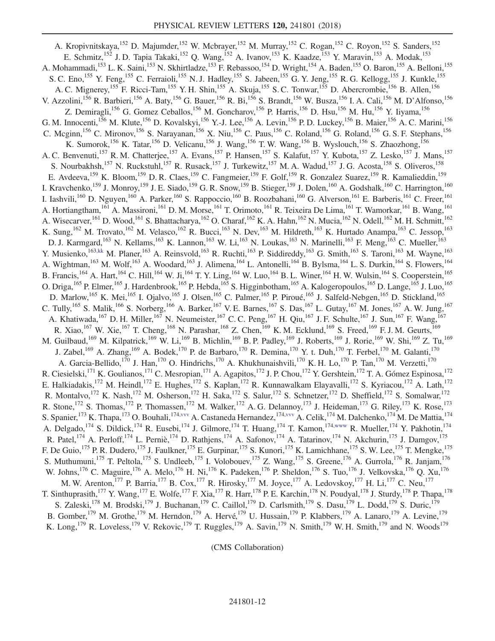A. Kropivnitskaya,<sup>152</sup> D. Majumder,<sup>152</sup> W. Mcbrayer,<sup>152</sup> M. Murray,<sup>152</sup> C. Rogan,<sup>152</sup> C. Royon,<sup>152</sup> S. Sanders,<sup>152</sup> E. Schmitz,<sup>152</sup> J. D. Tapia Takaki,<sup>152</sup> Q. Wang,<sup>152</sup> A. Ivanov,<sup>153</sup> K. Kaadze,<sup>153</sup> Y. Maravin,<sup>153</sup> A. Modak,<sup>153</sup> A. Mohammadi,<sup>153</sup> L. K. Saini,<sup>153</sup> N. Skhirtladze,<sup>153</sup> F. Rebassoo,<sup>154</sup> D. Wright,<sup>154</sup> A. Baden,<sup>155</sup> O. Baron,<sup>155</sup> A. Belloni,<sup>155</sup> S. C. Eno,<sup>155</sup> Y. Feng,<sup>155</sup> C. Ferraioli,<sup>155</sup> N. J. Hadley,<sup>155</sup> S. Jabeen,<sup>155</sup> G. Y. Jeng,<sup>155</sup> R. G. Kellogg,<sup>155</sup> J. Kunkle,<sup>155</sup> A. C. Mignerey,<sup>155</sup> F. Ricci-Tam,<sup>155</sup> Y. H. Shin,<sup>155</sup> A. Skuja,<sup>155</sup> S. C. Tonwar,<sup>155</sup> D. Abercrombie,<sup>156</sup> B. Allen,<sup>156</sup> V. Azzolini,<sup>156</sup> R. Barbieri,<sup>156</sup> A. Baty,<sup>156</sup> G. Bauer,<sup>156</sup> R. Bi,<sup>156</sup> S. Brandt,<sup>156</sup> W. Busza,<sup>156</sup> I. A. Cali,<sup>156</sup> M. D'Alfonso,<sup>156</sup> Z. Demiragli,<sup>156</sup> G. Gomez Ceballos,<sup>156</sup> M. Goncharov,<sup>156</sup> P. Harris,<sup>156</sup> D. Hsu,<sup>156</sup> M. Hu,<sup>156</sup> Y. Iiyama,<sup>156</sup> G. M. Innocenti,<sup>156</sup> M. Klute,<sup>156</sup> D. Kovalskyi,<sup>156</sup> Y.-J. Lee,<sup>156</sup> A. Levin,<sup>156</sup> P. D. Luckey,<sup>156</sup> B. Maier,<sup>156</sup> A. C. Marini,<sup>156</sup> C. Mcginn,<sup>156</sup> C. Mironov,<sup>156</sup> S. Narayanan,<sup>156</sup> X. Niu,<sup>156</sup> C. Paus,<sup>156</sup> C. Roland,<sup>156</sup> G. Roland,<sup>156</sup> G. S. F. Stephans,<sup>156</sup> K. Sumorok,<sup>156</sup> K. Tatar,<sup>156</sup> D. Velicanu,<sup>156</sup> J. Wang,<sup>156</sup> T. W. Wang,<sup>156</sup> B. Wyslouch,<sup>156</sup> S. Zhaozhong,<sup>156</sup> A. C. Benvenuti,<sup>157</sup> R. M. Chatterjee,<sup>157</sup> A. Evans,<sup>157</sup> P. Hansen,<sup>157</sup> S. Kalafut,<sup>157</sup> Y. Kubota,<sup>157</sup> Z. Lesko,<sup>157</sup> J. Mans,<sup>157</sup> S. Nourbakhsh,<sup>157</sup> N. Ruckstuhl,<sup>157</sup> R. Rusack,<sup>157</sup> J. Turkewitz,<sup>157</sup> M. A. Wadud,<sup>157</sup> J. G. Acosta,<sup>158</sup> S. Oliveros,<sup>158</sup> E. Avdeeva, <sup>159</sup> K. Bloom, <sup>159</sup> D. R. Claes, <sup>159</sup> C. Fangmeier, <sup>159</sup> F. Golf, <sup>159</sup> R. Gonzalez Suarez, <sup>159</sup> R. Kamalieddin, <sup>159</sup> I. Kravchenko,<sup>159</sup> J. Monroy,<sup>159</sup> J. E. Siado,<sup>159</sup> G. R. Snow,<sup>159</sup> B. Stieger,<sup>159</sup> J. Dolen,<sup>160</sup> A. Godshalk,<sup>160</sup> C. Harrington,<sup>160</sup> I. Iashvili,<sup>160</sup> D. Nguyen,<sup>160</sup> A. Parker,<sup>160</sup> S. Rappoccio,<sup>160</sup> B. Roozbahani,<sup>160</sup> G. Alverson,<sup>161</sup> E. Barberis,<sup>161</sup> C. Freer,<sup>161</sup> I. Iashvili,<sup>160</sup> D. Nguyen,<sup>160</sup> A. Parker,<sup>160</sup> S. Rappoccio,<sup>160</sup> B. Roozbahani,<sup>160</sup> G. Alverson,<sup>161</sup> E. Barberis,<sup>161</sup> C. Freer,<sup>161</sup> A. Massironi,<sup>161</sup> D. M. Morse,<sup>161</sup> T. Orimoto,<sup>161</sup> R. Teixeira De Lima,<sup>161</sup> T A. Wisecarver,<sup>161</sup> D. Wood,<sup>161</sup> S. Bhattacharya,<sup>162</sup> O. Charaf,<sup>162</sup> K. A. Hahn,<sup>162</sup> N. Mucia,<sup>162</sup> N. Odell,<sup>162</sup> M. H. Schmitt,<sup>162</sup> K. Sung,<sup>162</sup> M. Trovato,<sup>162</sup> M. Velasco,<sup>162</sup> R. Bucci,<sup>163</sup> N. Dev,<sup>163</sup> M. Hildreth,<sup>163</sup> K. Hurtado Anampa,<sup>163</sup> C. Jessop,<sup>163</sup> D. J. Karmgard,<sup>163</sup> N. Kellams,<sup>163</sup> K. Lannon,<sup>163</sup> W. Li,<sup>163</sup> N. Loukas,<sup>163</sup> N. Marinelli,<sup>163</sup> F. Meng,<sup>163</sup> C. Mueller,<sup>163</sup> Y. Musienko,<sup>16[3,kk](#page-15-35)</sup> M. Planer,<sup>163</sup> A. Reinsvold,<sup>163</sup> R. Ruchti,<sup>163</sup> P. Siddireddy,<sup>163</sup> G. Smith,<sup>163</sup> S. Taroni,<sup>163</sup> M. Wayne,<sup>163</sup> A. Wightman,<sup>163</sup> M. Wolf,<sup>163</sup> A. Woodard,<sup>163</sup> J. Alimena,<sup>164</sup> L. Antonelli,<sup>164</sup> B. Bylsma,<sup>164</sup> L. S. Durkin,<sup>164</sup> S. Flowers,<sup>164</sup> B. Francis,<sup>164</sup> A. Hart,<sup>164</sup> C. Hill,<sup>164</sup> W. Ji,<sup>164</sup> T. Y. Ling,<sup>164</sup> W. Luo,<sup>164</sup> B. L. Winer,<sup>164</sup> H. W. Wulsin,<sup>164</sup> S. Cooperstein,<sup>165</sup> O. Driga, <sup>165</sup> P. Elmer, <sup>165</sup> J. Hardenbrook, <sup>165</sup> P. Hebda, <sup>165</sup> S. Higginbotham, <sup>165</sup> A. Kalogeropoulos, <sup>165</sup> D. Lange, <sup>165</sup> J. Luo, <sup>165</sup> D. Marlow, <sup>165</sup> K. Mei, <sup>165</sup> I. Ojalvo, <sup>165</sup> J. Olsen, <sup>165</sup> C. Palmer, <sup>165</sup> P. Piroué, <sup>165</sup> J. Salfeld-Nebgen, <sup>165</sup> D. Stickland, <sup>165</sup> C. Tully,<sup>165</sup> S. Malik,<sup>166</sup> S. Norberg,<sup>166</sup> A. Barker,<sup>167</sup> V. E. Barnes,<sup>167</sup> S. Das,<sup>167</sup> L. Gutay,<sup>167</sup> M. Jones,<sup>167</sup> A. W. Jung,<sup>167</sup> A. Khatiwada,<sup>167</sup> D. H. Miller,<sup>167</sup> N. Neumeister,<sup>167</sup> C. C. Peng,<sup>167</sup> H. Qiu,<sup>167</sup> J. F. Schulte,<sup>167</sup> J. Sun,<sup>167</sup> F. Wang,<sup>167</sup> R. Xiao,<sup>167</sup> W. Xie,<sup>167</sup> T. Cheng,<sup>168</sup> N. Parashar,<sup>168</sup> Z. Chen,<sup>169</sup> K. M. Ecklund,<sup>169</sup> S. Freed,<sup>169</sup> F. J. M. Geurts,<sup>169</sup> M. Guilbaud,<sup>169</sup> M. Kilpatrick,<sup>169</sup> W. Li,<sup>169</sup> B. Michlin,<sup>169</sup> B. P. Padley,<sup>169</sup> J. Roberts,<sup>169</sup> J. Rorie,<sup>169</sup> W. Shi,<sup>169</sup> Z. Tu,<sup>169</sup> J. Zabel,<sup>169</sup> A. Zhang,<sup>169</sup> A. Bodek,<sup>170</sup> P. de Barbaro,<sup>170</sup> R. Demina,<sup>170</sup> Y. t. Duh,<sup>170</sup> T. Ferbel,<sup>170</sup> M. Galanti,<sup>170</sup> A. Garcia-Bellido,<sup>170</sup> J. Han,<sup>170</sup> O. Hindrichs,<sup>170</sup> A. Khukhunaishvili,<sup>170</sup> K. H. Lo,<sup>170</sup> P. Tan,<sup>170</sup> M. Verzetti,<sup>170</sup> R. Ciesielski,<sup>171</sup> K. Goulianos,<sup>171</sup> C. Mesropian,<sup>171</sup> A. Agapitos,<sup>172</sup> J. P. Chou,<sup>172</sup> Y. Gershtein,<sup>172</sup> T. A. Gómez Espinosa,<sup>172</sup> E. Halkiadakis,<sup>172</sup> M. Heindl,<sup>172</sup> E. Hughes,<sup>172</sup> S. Kaplan,<sup>172</sup> R. Kunnawalkam Elayavalli,<sup>172</sup> S. Kyriacou,<sup>172</sup> A. Lath,<sup>172</sup> R. Montalvo,<sup>172</sup> K. Nash,<sup>172</sup> M. Osherson,<sup>172</sup> H. Saka,<sup>172</sup> S. Salur,<sup>172</sup> S. Schnetzer,<sup>172</sup> D. Sheffield,<sup>172</sup> S. Somalwar,<sup>172</sup> R. Stone,<sup>172</sup> S. Thomas,<sup>172</sup> P. Thomassen,<sup>172</sup> M. Walker,<sup>172</sup> A. G. Delannoy,<sup>173</sup> J. Heideman,<sup>173</sup> G. Riley,<sup>173</sup> K. Rose,<sup>173</sup> S. Spanier, <sup>173</sup> K. Thapa, <sup>173</sup> O. Bouhali, <sup>174, vvv</sup> A. Castaneda Hernandez, <sup>174, vvv</sup> A. Celik, <sup>174</sup> M. Dalchenko, <sup>174</sup> M. De Mattia, <sup>174</sup> A. Delgado,<sup>174</sup> S. Dildick,<sup>174</sup> R. Eusebi,<sup>174</sup> J. Gilmore,<sup>174</sup> T. Huang,<sup>174</sup> T. Kamon,<sup>17[4,www](#page-16-37)</sup> R. Mueller,<sup>174</sup> Y. Pakhotin,<sup>174</sup> R. Patel,<sup>174</sup> A. Perloff,<sup>174</sup> L. Perniè,<sup>174</sup> D. Rathjens,<sup>174</sup> A. Safonov,<sup>174</sup> A. Tatarinov,<sup>174</sup> N. Akchurin,<sup>175</sup> J. Damgov,<sup>175</sup> F. De Guio,<sup>175</sup> P. R. Dudero,<sup>175</sup> J. Faulkner,<sup>175</sup> E. Gurpinar,<sup>175</sup> S. Kunori,<sup>175</sup> K. Lamichhane,<sup>175</sup> S. W. Lee,<sup>175</sup> T. Mengke,<sup>175</sup> S. Muthumuni,<sup>175</sup> T. Peltola,<sup>175</sup> S. Undleeb,<sup>175</sup> I. Volobouev,<sup>175</sup> Z. Wang,<sup>175</sup> S. Greene,<sup>176</sup> A. Gurrola,<sup>176</sup> R. Janjam,<sup>176</sup> W. Johns,<sup>176</sup> C. Maguire,<sup>176</sup> A. Melo,<sup>176</sup> H. Ni,<sup>176</sup> K. Padeken,<sup>176</sup> P. Sheldon,<sup>176</sup> S. Tuo,<sup>176</sup> J. Velkovska,<sup>176</sup> Q. Xu,<sup>176</sup> M. W. Arenton,<sup>177</sup> P. Barria,<sup>177</sup> B. Cox,<sup>177</sup> R. Hirosky,<sup>177</sup> M. Joyce,<sup>177</sup> A. Ledovskoy,<sup>177</sup> H. Li,<sup>177</sup> C. Neu,<sup>177</sup> T. Sinthuprasith,<sup>177</sup> Y. Wang,<sup>177</sup> E. Wolfe,<sup>177</sup> F. Xia,<sup>177</sup> R. Harr,<sup>178</sup> P. E. Karchin,<sup>178</sup> N. Poudyal,<sup>178</sup> J. Sturdy,<sup>178</sup> P. Thapa,<sup>178</sup> S. Zaleski,<sup>178</sup> M. Brodski,<sup>179</sup> J. Buchanan,<sup>179</sup> C. Caillol,<sup>179</sup> D. Carlsmith,<sup>179</sup> S. Dasu,<sup>179</sup> L. Dodd,<sup>179</sup> S. Duric,<sup>179</sup> B. Gomber,<sup>179</sup> M. Grothe,<sup>179</sup> M. Herndon,<sup>179</sup> A. Hervé,<sup>179</sup> U. Hussain,<sup>179</sup> P. Klabbers,<sup>179</sup> A. Lanaro,<sup>179</sup> A. Levine,<sup>179</sup> K. Long,  $^{179}$  R. Loveless,  $^{179}$  V. Rekovic,  $^{179}$  T. Ruggles,  $^{179}$  A. Savin,  $^{179}$  N. Smith,  $^{179}$  W. H. Smith,  $^{179}$  and N. Woods  $^{179}$ 

<span id="page-11-1"></span><span id="page-11-0"></span>(CMS Collaboration)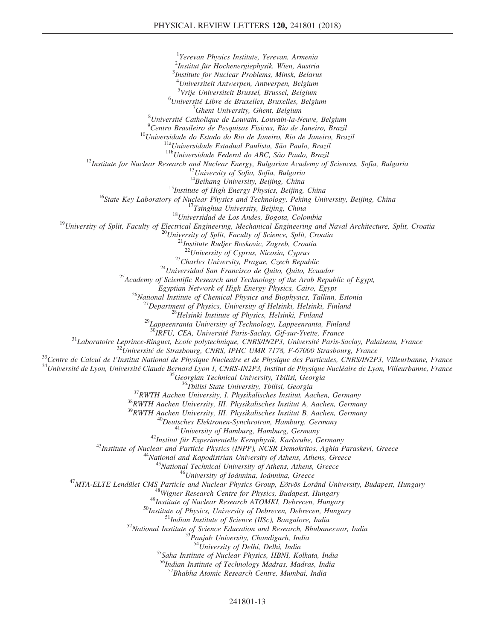<sup>1</sup>Yerevan Physics Institute, Yerevan, Armenia 2 Institut für Hochenergiephysik, Wien, Austria 3 Institute for Nuclear Problems, Minsk, Belarus <sup>4</sup>Universiteit Antwerpen, Antwerpen, Belgium <sup>5</sup>Vrije Universiteit Brussel, Brussel, Belgium  $\frac{V}{V}$ Vrije Universiteit Brussel, Brussel, Belgium Université Libre de Bruxelles, Bruxelles, Belgium<br><sup>7</sup>Chant University, Chant, Belgium  $'$ Ghent University, Ghent, Belgium<br><sup>8</sup>Université Catholique de Louvain, Louvain la N  $^8$ Université Catholique de Louvain, Louvain-la-Neuve, Belgium  $^9$ Cantre Presileire de Possileire <sup>9</sup>Centro Brasileiro de Pesquisas Fisicas, Rio de Janeiro, Brazil<br><sup>10</sup>Universidade do Estado do Rio de Janeiro, Rio de Janeiro, Brazil<br><sup>11a</sup>Universidade Estadual Paulista, São Paulo, Brazil<br><sup>11b</sup>Universidade Federal do AB <sup>15</sup><br>
<sup>15</sup> Institute of High Energy Physics, Beijing, China<br>
<sup>16</sup> State Key Laboratory of Nuclear Physics and Technology, Peking University, Beijing, China<br>
<sup>18</sup> University Beijing, China<br>
<sup>18</sup> Universidad de Los Andes, B <sup>23</sup>Charles University, Prague, Czech Republic<br><sup>24</sup>Universidad San Francisco de Quito, Quito, Ecuador <sup>25</sup>Academy of Scientific Research and Technology of the Arab Republic of Egypt, Egyptian Network of High Energy Physics, Cairo, Egypt<br><sup>26</sup>National Institute of Chemical Physics and Biophysics, Tallinn, Estonia<br><sup>27</sup>Department of Physics, University of Helsinki, Helsinki, Finland<br><sup>28</sup>Helsinki Institute <sup>31</sup>Laboratoire Leprince-Ringuet, Ecole polytechnique, CNRS/IN2P3, Université Paris-Saclay, Palaiseau, France<br><sup>32</sup>Université de Strasbourg, CNRS, IPHC UMR 7178, F-67000 Strasbourg, France<br><sup>32</sup>Université de l'Institut Nati <sup>39</sup>RWTH Aachen University, III. Physikalisches Institut B, Aachen, Germany <sup>40</sup>Deutsches Elektronen-Synchrotron, Hamburg, Germany <sup>41</sup>University of Hamburg, Hamburg, Germany <sup>42</sup>Institut für Experimentelle Kernphysik, Karlsruhe, Germany <sup>43</sup>Institute of Nuclear and Particle Physics (INPP), NCSR Demokritos, Aghia Paraskevi, Greece <sup>44</sup>National and Kapodistrian University of Athens, Athens, Greece <sup>45</sup>National Technical University of Athens, Athens, Greece <sup>46</sup>University of Ioánnina, Ioánnina, Greece <sup>47</sup>MTA-ELTE Lendület CMS Particle and Nuclear Physics Group, Eötvös Loránd University, Budapest, Hungary <sup>48</sup>Wigner Research Centre for Physics, Budapest, Hungary <sup>49</sup>Institute of Nuclear Research ATOMKI, Debrecen, Hungary <sup>50</sup>Institute of Physics, University of Debrecen, Debrecen, Hungary <sup>51</sup>Indian Institute of Science (IISc), Bangalore, India <sup>52</sup>National Institute of Science Education and Research, Bhubaneswar, India <sup>53</sup>Panjab University, Chandigarh, India  $54$ University of Delhi, Delhi, India  $55$ Saha Institute of Nuclear Physics, HBNI, Kolkata, India <sup>56</sup>Indian Institute of Technology Madras, Madras, India <sup>57</sup>Bhabha Atomic Research Centre, Mumbai, India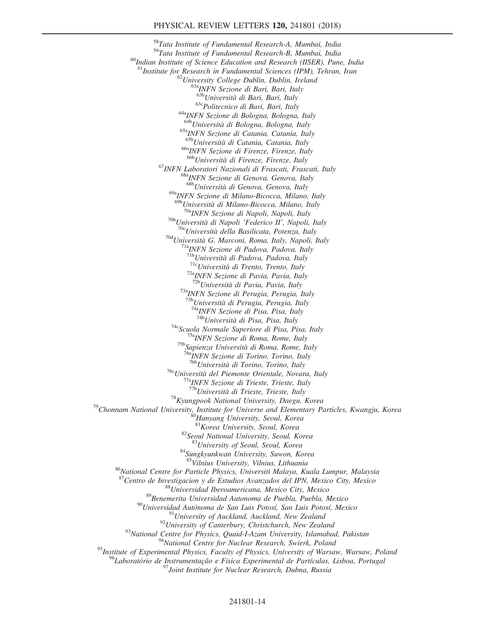<sup>58</sup>Tata Institute of Fundamental Research-A, Mumbai, India<br><sup>59</sup>Tata Institute of Fundamental Research-B, Mumbai, India  $60$ Indian Institute of Science Education and Research (IISER), Pune, India <sup>61</sup>Institute for Research in Fundamental Sciences (IPM), Tehran, Iran <sup>62</sup>University College Dublin, Dublin, Ireland <sup>63a</sup>INFN Sezione di Bari, Bari, Italy <sup>63b</sup>Università di Bari, Bari, Italy  $63c$ Politecnico di Bari, Bari, Italy<br> $64a$ INFN Sezione di Bologna, Bologna, Italy<br> $64b$ Università di Bologna, Bologna, Italy  $65a$ <sub>INFN</sub> Sezione di Catania, Catania, Italy  $65b$ <sub>Università</sub> di Catania, Catania, Italy <sup>66a</sup>INFN Sezione di Firenze, Firenze, Italy<br><sup>66b</sup>Università di Firenze, Firenze, Italy <sup>67</sup>INFN Laboratori Nazionali di Frascati, Frascati, Italy 68<sup>8</sup>INFN Sezione di Genova, Genova, Italy <sup>68b</sup>Università di Genova, Genova, Italy  $^{69a}$ INFN Sezione di Milano-Bicocca, Milano, Italy<br> $^{69b}$ Università di Milano-Bicocca, Milano, Italy <sup>70a</sup>INFN Sezione di Napoli, Napoli, Italy<br><sup>70b</sup>Università di Napoli 'Federico II', Napoli, Italy<br><sup>70</sup><sup>0</sup>Università della Basilicata, Potenza, Italy<br><sup>70d</sup>Università G. Marconi, Roma, Italy, Napoli, Italy<br><sup>71a</sup>INFN Sezione <sup>71c</sup>Università di Trento, Trento, Italy <sup>72a</sup>INFN Sezione di Pavia, Pavia, Italy <sup>72b</sup>Università di Pavia, Pavia, Italy  $^{73a}$ INFN Sezione di Perugia, Perugia, Italy  $^{73b}$ Università di Perugia, Perugia, Italy  $74a$ <sub>INFN</sub> Sezione di Pisa, Pisa, Italy  $74b$ <sub>Università di Pisa, Pisa, Italy</sub> <sup>74c</sup>Scuola Normale Superiore di Pisa, Pisa, Italy <sup>75a</sup>INFN Sezione di Roma, Rome, Italy <sup>75b</sup>Sapienza Università di Roma, Rome, Italy <sup>76a</sup>INFN Sezione di Torino, Torino, Italy <sup>76b</sup>Università di Torino, Torino, Italy <sup>76c</sup>Università del Piemonte Orientale, Novara, Italy <sup>77a</sup>INFN Sezione di Trieste, Trieste, Italy <sup>77b</sup>Università di Trieste, Trieste, Italy <sup>78</sup>Chonnam National University, Institute for University, Daegu, Korea 79<br>Chonnam National University, Institute for Universe and Elementary Particles, Kwangju, Korea 80Hanyang University, Seoul, Korea 8<sup>81</sup><br>Korea Univer  $82$ Seoul National University, Seoul, Korea  $83$ University of Seoul, Seoul, Korea 84 Sungkyunkwan University, Suwon, Korea <sup>85</sup>Vilnius University, Vilnius, Lithuania<br><sup>86</sup>National Centre for Particle Physics, Universiti Malaya, Kuala Lumpur, Malaysia<br><sup>87</sup>Centro de Investigacion y de Estudios Avanzados del IPN, Mexico City, Mexico <sup>88</sup>Universidad Iberoamericana, Mexico City, Mexico<br><sup>89</sup>Benemerita Universidad Autonoma de Puebla, Puebla, Mexico<br><sup>90</sup>Universidad Autónoma de San Luis Potosí, San Luis Potosí, Mexico<br><sup>91</sup>University of Auckland, Auckland, <sup>95</sup>Institute of Experimental Physics, Faculty of Physics, University of Warsaw, Warsaw, Poland <sup>96</sup>Laboratório de Instrumentação e Física Experimental de Partículas, Lisboa, Portugal<br><sup>97</sup>Joint Institute for Nuclear Research, Dubna, Russia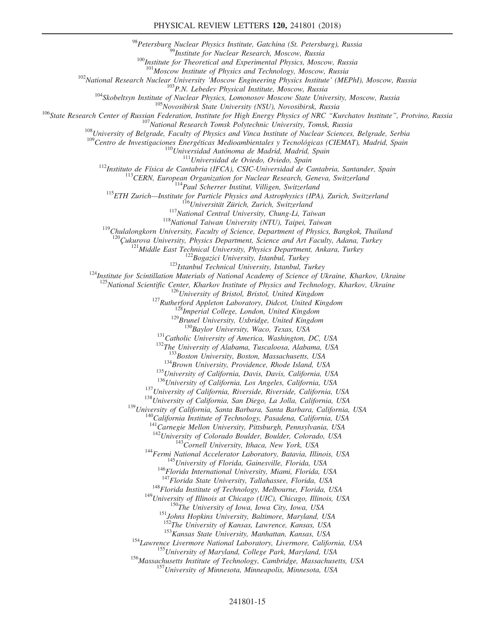<sup>98</sup>Petersburg Nuclear Physics Institute, Gatchina (St. Petersburg), Russia<br><sup>99</sup>Institute for Nuclear Research, Moscow, Russia<br><sup>100</sup>Institute for Theoretical and Experimental Physics, Moscow, Russia<br><sup>101</sup>Moscow Institute  $\begin{small} ^{102}\text{National Research Nuclear University} \end{smallmatrix} \begin{smallmatrix} 100 \text{ National Research Nuclear University} \end{smallmatrix} \begin{smallmatrix} 100 \text{-dimensional Research, and I} \end{smallmatrix} \begin{smallmatrix} 100 \text{-dimensional Institute} \end{smallmatrix} \begin{smallmatrix} 100 \text{-dimensional Institute} \end{smallmatrix} \begin{smallmatrix} 100 \text{-dimensional Institute} \end{smallmatrix} \begin{smallmatrix} 100 \text{-dimensional Institute} \end{smallmatrix} \begin{smallmatrix} 100 \text{-dimensional Institute} \end{smallmatrix} \begin{smallmatrix} 100 \text{-dimensional Research, and I} \end{smallmatrix} \begin{smallmatrix} 100 \text$ <sup>121</sup>Middle East Technical University, Physics Department, Ankara, Turkey<br><sup>122</sup>Bogazici University, Istanbul, Turkey<br><sup>123</sup>Istanbul Technical University, Istanbul, Turkey<br><sup>124</sup>Institute for Scintillation Materials of Natio <sup>225</sup>National Scientific Center, Kharkov Institute of Physics and Technology, Kharkov, Ukraine<br><sup>126</sup>University of Bristol, Bristol, United Kingdom<br><sup>127</sup>Rutherford Appleton Laboratory, Didcot, United Kingdom<br><sup>128</sup>Imperial  $134\text{Brown University, Providence, Rhode Island, USA}\n135 University of California, Davis, Davis, California, USA\n136 University of California, Los Angeles, California, USA\n137 University of California, Kiverside, Riverside, California, USA\n138 University of California, San Diego, La Jolla, California, USA\n139 University of California, Santa Barbara, California, USA\n149 California Institute of Technology, Pasadena, California, USA\n149 California Institute of Technology, Pasadena, California, USA\n150\n160\n171\n181\n192\n103\n104\n114\n21\n203\n11\n21\n22\n23\n24\n25\n25\n26\n27\n28\n29\n20\n20\n20\n21\n21\n21\n2$  $^{141}$ Carnegie Mellon University, Pittsburgh, Pennsylvania, USA<br> $^{142}$ University of Colorado Boulder, Boulder, Colorado, USA <sup>143</sup>Cornell University, Ithaca, New York, USA<br><sup>144</sup>Fermi National Accelerator Laboratory, Batavia, Illinois, USA<br><sup>145</sup>University of Florida, Gainesville, Florida, USA<br><sup>146</sup>Florida International University, Miami, Florida <sup>148</sup>Florida Institute of Technology, Melbourne, Florida, USA<br><sup>149</sup>University of Illinois at Chicago (UIC), Chicago, Illinois, USA<br><sup>150</sup>The University of Iowa, Iowa City, Iowa, USA<br><sup>151</sup>Johns Hopkins University, Baltimore <sup>153</sup> Kansas State University, Manhattan, Kansas, USA<br><sup>154</sup> Lawrence Livermore National Laboratory, Livermore, California, USA<br><sup>155</sup> University of Maryland, College Park, Maryland, USA<br><sup>156</sup> Massachusetts Institute of Tec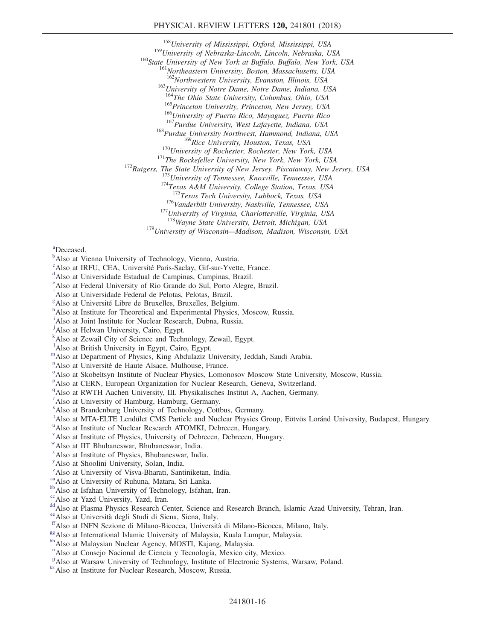## PHYSICAL REVIEW LETTERS 120, 241801 (2018)

 $^{158}$ University of Mississippi, Oxford, Mississippi, USA<br> $^{159}$ University of Nebraska-Lincoln, Lincoln, Nebraska, USA <sup>160</sup>State University of New York at Buffalo, Buffalo, New York, USA  $161$ <sub>N</sub>ortheastern University, Boston, Massachusetts, USA 162Northwestern University, Evanston, Illinois, USA <sup>163</sup>University of Notre Dame, Notre Dame, Indiana, USA <sup>164</sup>The Ohio State University, Columbus, Ohio, USA <sup>165</sup>Princeton University, Princeton, New Jersey, USA<br><sup>166</sup>University of Puerto Rico, Mayaguez, Puerto Rico<br><sup>167</sup>Purdue University, West Lafayette, Indiana, USA<br><sup>168</sup>Purdue University Northwest, Hammond, Indiana, USA<br><sup>169</sup> <sup>170</sup>University of Rochester, Rochester, New York, USA<br><sup>171</sup>The Rockefeller University, New York, New York, USA<br><sup>172</sup>Rutgers, The State University of New Jersey, Piscataway, New Jersey, USA<br><sup>173</sup>University of Tennessee, K

<sup>176</sup>Vanderbilt University, Nashville, Tennessee, USA <sup>177</sup>University of Virginia, Charlottesville, Virginia, USA <sup>178</sup>Wayne State University, Detroit, Michigan, USA

<sup>179</sup>University of Wisconsin—Madison, Madison, Wisconsin, USA

<span id="page-15-36"></span><sup>[a](#page-9-0)</sup>Deceased.

- <span id="page-15-0"></span><sup>[b](#page-5-19)</sup>Also at Vienna University of Technology, Vienna, Austria.
- <span id="page-15-1"></span><sup>[c](#page-6-0)</sup>Also at IRFU, CEA, Université Paris-Saclay, Gif-sur-Yvette, France.
- <span id="page-15-2"></span><sup>d</sup>Also at Universidade Estadual de Campinas, Campinas, Brazil.
- <span id="page-15-3"></span>[e](#page-6-2) Also at Federal University of Rio Grande do Sul, Porto Alegre, Brazil.
- <span id="page-15-4"></span>[f](#page-6-3) Also at Universidade Federal de Pelotas, Pelotas, Brazil.
- <span id="page-15-5"></span> $\frac{g}{h}$  $\frac{g}{h}$  $\frac{g}{h}$  $\frac{g}{h}$  $\frac{g}{h}$ Also at Université Libre de Bruxelles, Bruxelles, Belgium.
- <span id="page-15-6"></span><sup>h</sup>Also at Institute for Theoretical and Experimental Physics, Moscow, Russia.
- <span id="page-15-7"></span><sup>[i](#page-6-6)</sup>Also at Joint Institute for Nuclear Research, Dubna, Russia.
- <span id="page-15-8"></span><sup>[j](#page-6-7)</sup>Also at Helwan University, Cairo, Egypt.
- <span id="page-15-10"></span>[k](#page-6-7) Also at Zewail City of Science and Technology, Zewail, Egypt.
- <span id="page-15-9"></span><sup>1</sup>A[l](#page-6-7)so at British University in Egypt, Cairo, Egypt.
- <span id="page-15-11"></span>[m](#page-6-8)Also at Department of Physics, King Abdulaziz University, Jeddah, Saudi Arabia.
- <span id="page-15-12"></span>[n](#page-6-9)<br>Als[o](#page-6-10) at Université de Haute Alsace, Mulhouse, France.
- <span id="page-15-13"></span><sup>o</sup>Also at Skobeltsyn Institute of Nuclear Physics, Lomonosov Moscow State University, Moscow, Russia.
- <span id="page-15-14"></span><su[p](#page-6-11)>p</sup>Also at CERN, European Organization for Nuclear Research, Geneva, Switzerland.
- <span id="page-15-15"></span><sup>[q](#page-6-12)</sup>Also at RWTH Aachen University, III. Physikalisches Institut A, Aachen, Germany.
- <span id="page-15-16"></span><sup>[r](#page-6-13)</sup> Also at University of Hamburg, Hamburg, Germany.
- <span id="page-15-17"></span>[s](#page-6-14) Also at Brandenburg University of Technology, Cottbus, Germany.
- <span id="page-15-18"></span>[t](#page-7-0) Also at MTA-ELTE Lendület CMS Particle and Nuclear Physics Group, Eötvös Loránd University, Budapest, Hungary.
- <span id="page-15-19"></span><s[u](#page-7-1)p>u</sup> Also at Institute of Nuclear Research ATOMKI, Debrecen, Hungary.
- <span id="page-15-20"></span>[v](#page-7-2) Also at Institute of Physics, University of Debrecen, Debrecen, Hungary.
- <span id="page-15-21"></span>[w](#page-7-3)Also at IIT Bhubaneswar, Bhubaneswar, India.
- <span id="page-15-22"></span>[x](#page-7-3) Also at Institute of Physics, Bhubaneswar, India.
- <span id="page-15-23"></span>[y](#page-7-4) Also at Shoolini University, Solan, India.
- <span id="page-15-24"></span><sup>[z](#page-7-5)</sup>Also at University of Visva-Bharati, Santiniketan, India.
- <span id="page-15-26"></span>
- <span id="page-15-25"></span>[aa](#page-7-5) Also at University of Ruhuna, Matara, Sri Lanka.<br><sup>[bb](#page-7-6)</sup>Also at Isfahan University of Technology, Isfahan, Iran.<br><sup>cc</sup>Also at Yazd University, Yazd, Iran.
- <span id="page-15-27"></span>
- <span id="page-15-28"></span><sup>[dd](#page-7-7)</sup> Also at Plasma Physics Research Center, Science and Research Branch, Islamic Azad University, Tehran, Iran. <sup>ee</sup> Also at Università degli Studi di Siena, Siena, Italy.
- <span id="page-15-29"></span>
- <span id="page-15-30"></span> $H$ Also at INFN Sezione di Milano-Bicocca, Università di Milano-Bicocca, Milano, Italy.<br><sup>[gg](#page-8-0)</sup> Also at International Islamic University of Malaysia, Kuala Lumpur, Malaysia.<br> $H$ h Also at Malaysian Nuclear Agency, MOSTI, Kaja
- <span id="page-15-32"></span><span id="page-15-31"></span>
- 
- <span id="page-15-33"></span>[ii](#page-8-1)Also at Consejo Nacional de Ciencia y Tecnología, Mexico city, Mexico.
- <span id="page-15-34"></span><sup>[jj](#page-8-2)</sup>Also at Warsaw University of Technology, Institute of Electronic Systems, Warsaw, Poland. [kk](#page-8-3)Also at Institute for Nuclear Research, Moscow, Russia.
- <span id="page-15-35"></span>